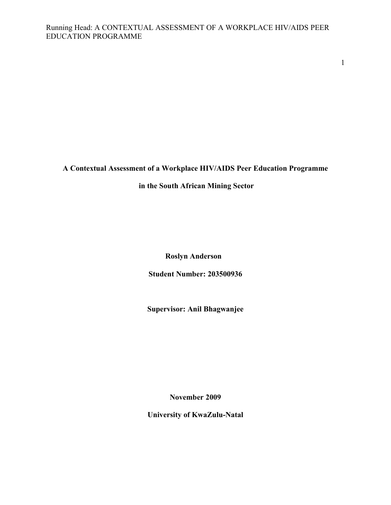1

# **A Contextual Assessment of a Workplace HIV/AIDS Peer Education Programme**

# **in the South African Mining Sector**

**Roslyn Anderson** 

**Student Number: 203500936** 

**Supervisor: Anil Bhagwanjee**

**November 2009** 

**University of KwaZulu-Natal**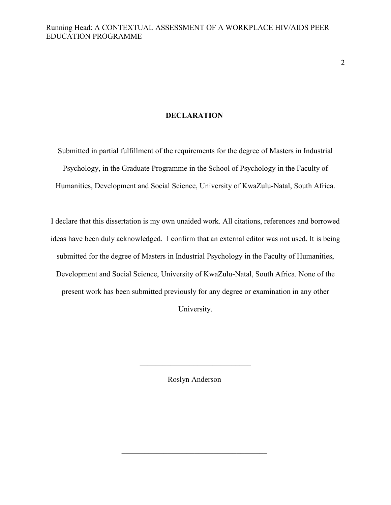2

# **DECLARATION**

Submitted in partial fulfillment of the requirements for the degree of Masters in Industrial Psychology, in the Graduate Programme in the School of Psychology in the Faculty of Humanities, Development and Social Science, University of KwaZulu-Natal, South Africa.

I declare that this dissertation is my own unaided work. All citations, references and borrowed ideas have been duly acknowledged. I confirm that an external editor was not used. It is being submitted for the degree of Masters in Industrial Psychology in the Faculty of Humanities, Development and Social Science, University of KwaZulu-Natal, South Africa. None of the present work has been submitted previously for any degree or examination in any other University.

Roslyn Anderson

\_\_\_\_\_\_\_\_\_\_\_\_\_\_\_\_\_\_\_\_\_\_\_\_\_\_\_\_\_\_\_\_\_\_\_\_\_\_

 $\overline{\mathcal{L}}$  , and the set of the set of the set of the set of the set of the set of the set of the set of the set of the set of the set of the set of the set of the set of the set of the set of the set of the set of the s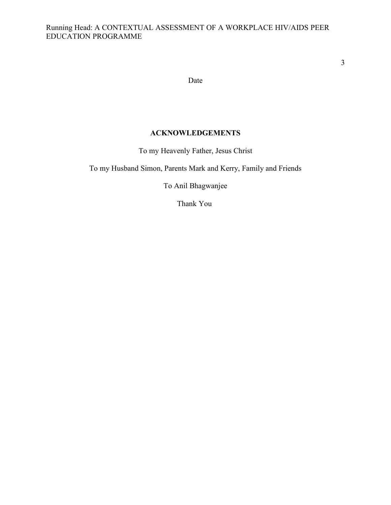Date

# **ACKNOWLEDGEMENTS**

To my Heavenly Father, Jesus Christ

To my Husband Simon, Parents Mark and Kerry, Family and Friends

To Anil Bhagwanjee

Thank You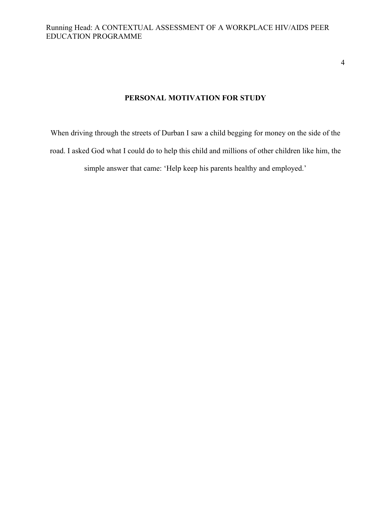4

# **PERSONAL MOTIVATION FOR STUDY**

When driving through the streets of Durban I saw a child begging for money on the side of the road. I asked God what I could do to help this child and millions of other children like him, the simple answer that came: 'Help keep his parents healthy and employed.'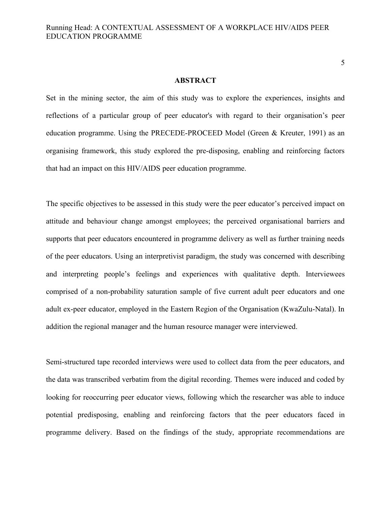#### **ABSTRACT**

Set in the mining sector, the aim of this study was to explore the experiences, insights and reflections of a particular group of peer educator's with regard to their organisation's peer education programme. Using the PRECEDE-PROCEED Model (Green & Kreuter, 1991) as an organising framework, this study explored the pre-disposing, enabling and reinforcing factors that had an impact on this HIV/AIDS peer education programme.

The specific objectives to be assessed in this study were the peer educator's perceived impact on attitude and behaviour change amongst employees; the perceived organisational barriers and supports that peer educators encountered in programme delivery as well as further training needs of the peer educators. Using an interpretivist paradigm, the study was concerned with describing and interpreting people's feelings and experiences with qualitative depth. Interviewees comprised of a non-probability saturation sample of five current adult peer educators and one adult ex-peer educator, employed in the Eastern Region of the Organisation (KwaZulu-Natal). In addition the regional manager and the human resource manager were interviewed.

Semi-structured tape recorded interviews were used to collect data from the peer educators, and the data was transcribed verbatim from the digital recording. Themes were induced and coded by looking for reoccurring peer educator views, following which the researcher was able to induce potential predisposing, enabling and reinforcing factors that the peer educators faced in programme delivery. Based on the findings of the study, appropriate recommendations are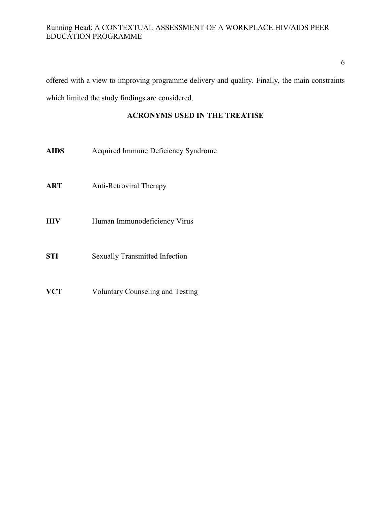6

offered with a view to improving programme delivery and quality. Finally, the main constraints which limited the study findings are considered.

# **ACRONYMS USED IN THE TREATISE**

- **AIDS** Acquired Immune Deficiency Syndrome
- **ART** Anti-Retroviral Therapy
- **HIV** Human Immunodeficiency Virus
- **STI** Sexually Transmitted Infection
- **VCT** Voluntary Counseling and Testing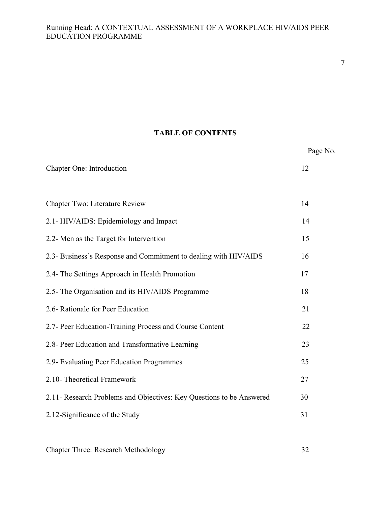7

# **TABLE OF CONTENTS**

|                                                                      | Page No. |
|----------------------------------------------------------------------|----------|
| Chapter One: Introduction                                            | 12       |
|                                                                      |          |
| Chapter Two: Literature Review                                       | 14       |
| 2.1- HIV/AIDS: Epidemiology and Impact                               | 14       |
| 2.2- Men as the Target for Intervention                              | 15       |
| 2.3- Business's Response and Commitment to dealing with HIV/AIDS     | 16       |
| 2.4- The Settings Approach in Health Promotion                       | 17       |
| 2.5- The Organisation and its HIV/AIDS Programme                     | 18       |
| 2.6- Rationale for Peer Education                                    | 21       |
| 2.7- Peer Education-Training Process and Course Content              | 22       |
| 2.8- Peer Education and Transformative Learning                      | 23       |
| 2.9- Evaluating Peer Education Programmes                            | 25       |
| 2.10- Theoretical Framework                                          | 27       |
| 2.11- Research Problems and Objectives: Key Questions to be Answered | 30       |
| 2.12-Significance of the Study                                       | 31       |
|                                                                      |          |

Chapter Three: Research Methodology 32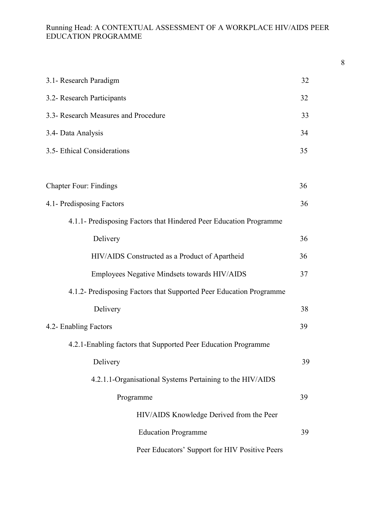| 3.1- Research Paradigm                                              | 32 |
|---------------------------------------------------------------------|----|
| 3.2- Research Participants                                          | 32 |
| 3.3- Research Measures and Procedure                                | 33 |
| 3.4- Data Analysis                                                  | 34 |
| 3.5- Ethical Considerations                                         | 35 |
|                                                                     |    |
| <b>Chapter Four: Findings</b>                                       | 36 |
| 4.1- Predisposing Factors                                           | 36 |
| 4.1.1- Predisposing Factors that Hindered Peer Education Programme  |    |
| Delivery                                                            | 36 |
| HIV/AIDS Constructed as a Product of Apartheid                      | 36 |
| Employees Negative Mindsets towards HIV/AIDS                        | 37 |
| 4.1.2- Predisposing Factors that Supported Peer Education Programme |    |
| Delivery                                                            | 38 |
| 4.2- Enabling Factors                                               | 39 |
| 4.2.1-Enabling factors that Supported Peer Education Programme      |    |
| Delivery                                                            | 39 |
| 4.2.1.1-Organisational Systems Pertaining to the HIV/AIDS           |    |
| Programme                                                           | 39 |
| HIV/AIDS Knowledge Derived from the Peer                            |    |
| <b>Education Programme</b>                                          | 39 |
| Peer Educators' Support for HIV Positive Peers                      |    |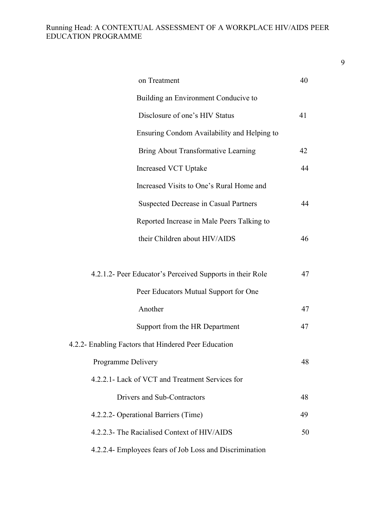| on Treatment                                              | 40 |
|-----------------------------------------------------------|----|
| Building an Environment Conducive to                      |    |
| Disclosure of one's HIV Status                            | 41 |
| Ensuring Condom Availability and Helping to               |    |
| Bring About Transformative Learning                       | 42 |
| <b>Increased VCT Uptake</b>                               | 44 |
| Increased Visits to One's Rural Home and                  |    |
| <b>Suspected Decrease in Casual Partners</b>              | 44 |
| Reported Increase in Male Peers Talking to                |    |
| their Children about HIV/AIDS                             | 46 |
|                                                           |    |
| 4.2.1.2- Peer Educator's Perceived Supports in their Role | 47 |
| Peer Educators Mutual Support for One                     |    |
| Another                                                   | 47 |
| Support from the HR Department                            | 47 |
| 4.2.2- Enabling Factors that Hindered Peer Education      |    |
| Programme Delivery                                        | 48 |
| 4.2.2.1- Lack of VCT and Treatment Services for           |    |
| Drivers and Sub-Contractors                               | 48 |
| 4.2.2.2- Operational Barriers (Time)                      | 49 |
| 4.2.2.3- The Racialised Context of HIV/AIDS               | 50 |
| 4.2.2.4- Employees fears of Job Loss and Discrimination   |    |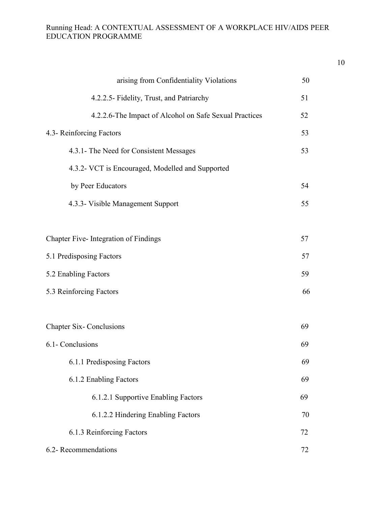| arising from Confidentiality Violations                | 50 |
|--------------------------------------------------------|----|
| 4.2.2.5- Fidelity, Trust, and Patriarchy               | 51 |
| 4.2.2.6-The Impact of Alcohol on Safe Sexual Practices | 52 |
| 4.3- Reinforcing Factors                               | 53 |
| 4.3.1- The Need for Consistent Messages                | 53 |
| 4.3.2- VCT is Encouraged, Modelled and Supported       |    |
| by Peer Educators                                      | 54 |
| 4.3.3- Visible Management Support                      | 55 |
|                                                        |    |
| Chapter Five-Integration of Findings                   | 57 |
| 5.1 Predisposing Factors                               | 57 |
| 5.2 Enabling Factors                                   | 59 |
| 5.3 Reinforcing Factors                                | 66 |
|                                                        |    |
| <b>Chapter Six-Conclusions</b>                         | 69 |
| 6.1- Conclusions                                       | 69 |
| 6.1.1 Predisposing Factors                             | 69 |
| 6.1.2 Enabling Factors                                 | 69 |
| 6.1.2.1 Supportive Enabling Factors                    | 69 |
| 6.1.2.2 Hindering Enabling Factors                     | 70 |
| 6.1.3 Reinforcing Factors                              | 72 |
| 6.2- Recommendations                                   | 72 |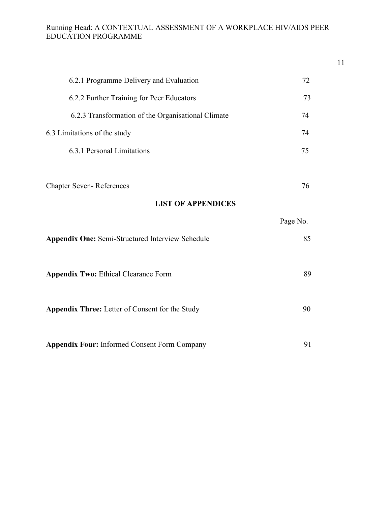| 6.2.1 Programme Delivery and Evaluation                 | 72       |
|---------------------------------------------------------|----------|
| 6.2.2 Further Training for Peer Educators               | 73       |
| 6.2.3 Transformation of the Organisational Climate      | 74       |
| 6.3 Limitations of the study                            | 74       |
| 6.3.1 Personal Limitations                              | 75       |
| <b>Chapter Seven-References</b>                         | 76       |
| <b>LIST OF APPENDICES</b>                               |          |
|                                                         |          |
|                                                         | Page No. |
| <b>Appendix One: Semi-Structured Interview Schedule</b> | 85       |
|                                                         |          |
| <b>Appendix Two: Ethical Clearance Form</b>             | 89       |
|                                                         |          |
| Appendix Three: Letter of Consent for the Study         | 90       |
|                                                         |          |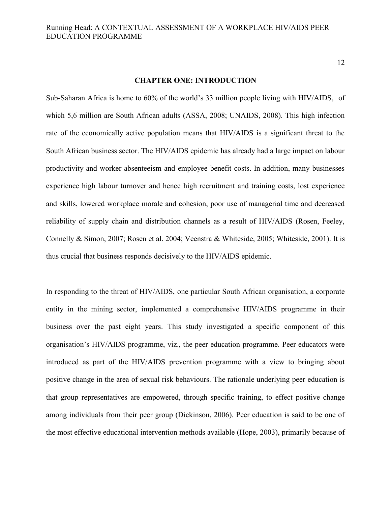12

#### **CHAPTER ONE: INTRODUCTION**

Sub-Saharan Africa is home to 60% of the world's 33 million people living with HIV/AIDS, of which 5,6 million are South African adults (ASSA, 2008; UNAIDS, 2008). This high infection rate of the economically active population means that HIV/AIDS is a significant threat to the South African business sector. The HIV/AIDS epidemic has already had a large impact on labour productivity and worker absenteeism and employee benefit costs. In addition, many businesses experience high labour turnover and hence high recruitment and training costs, lost experience and skills, lowered workplace morale and cohesion, poor use of managerial time and decreased reliability of supply chain and distribution channels as a result of HIV/AIDS (Rosen, Feeley, Connelly & Simon, 2007; Rosen et al. 2004; Veenstra & Whiteside, 2005; Whiteside, 2001). It is thus crucial that business responds decisively to the HIV/AIDS epidemic.

In responding to the threat of HIV/AIDS, one particular South African organisation, a corporate entity in the mining sector, implemented a comprehensive HIV/AIDS programme in their business over the past eight years. This study investigated a specific component of this organisation's HIV/AIDS programme, viz., the peer education programme. Peer educators were introduced as part of the HIV/AIDS prevention programme with a view to bringing about positive change in the area of sexual risk behaviours. The rationale underlying peer education is that group representatives are empowered, through specific training, to effect positive change among individuals from their peer group (Dickinson, 2006). Peer education is said to be one of the most effective educational intervention methods available (Hope, 2003), primarily because of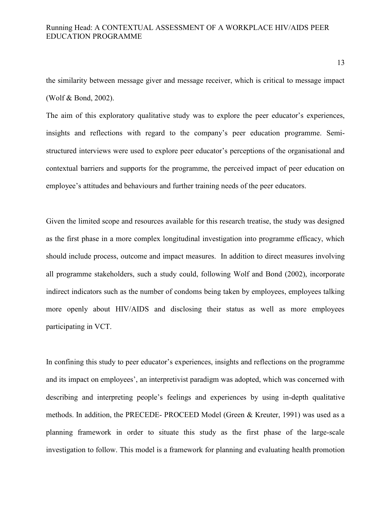the similarity between message giver and message receiver, which is critical to message impact (Wolf & Bond, 2002).

The aim of this exploratory qualitative study was to explore the peer educator's experiences, insights and reflections with regard to the company's peer education programme. Semistructured interviews were used to explore peer educator's perceptions of the organisational and contextual barriers and supports for the programme, the perceived impact of peer education on employee's attitudes and behaviours and further training needs of the peer educators.

Given the limited scope and resources available for this research treatise, the study was designed as the first phase in a more complex longitudinal investigation into programme efficacy, which should include process, outcome and impact measures. In addition to direct measures involving all programme stakeholders, such a study could, following Wolf and Bond (2002), incorporate indirect indicators such as the number of condoms being taken by employees, employees talking more openly about HIV/AIDS and disclosing their status as well as more employees participating in VCT.

In confining this study to peer educator's experiences, insights and reflections on the programme and its impact on employees', an interpretivist paradigm was adopted, which was concerned with describing and interpreting people's feelings and experiences by using in-depth qualitative methods. In addition, the PRECEDE- PROCEED Model (Green & Kreuter, 1991) was used as a planning framework in order to situate this study as the first phase of the large-scale investigation to follow. This model is a framework for planning and evaluating health promotion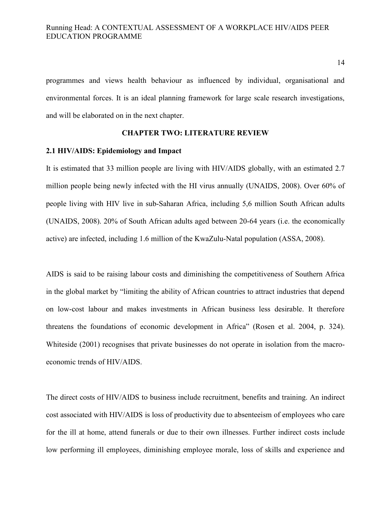programmes and views health behaviour as influenced by individual, organisational and environmental forces. It is an ideal planning framework for large scale research investigations, and will be elaborated on in the next chapter.

### **CHAPTER TWO: LITERATURE REVIEW**

#### **2.1 HIV/AIDS: Epidemiology and Impact**

It is estimated that 33 million people are living with HIV/AIDS globally, with an estimated 2.7 million people being newly infected with the HI virus annually (UNAIDS, 2008). Over 60% of people living with HIV live in sub-Saharan Africa, including 5,6 million South African adults (UNAIDS, 2008). 20% of South African adults aged between 20-64 years (i.e. the economically active) are infected, including 1.6 million of the KwaZulu-Natal population (ASSA, 2008).

AIDS is said to be raising labour costs and diminishing the competitiveness of Southern Africa in the global market by "limiting the ability of African countries to attract industries that depend on low-cost labour and makes investments in African business less desirable. It therefore threatens the foundations of economic development in Africa" (Rosen et al. 2004, p. 324). Whiteside (2001) recognises that private businesses do not operate in isolation from the macroeconomic trends of HIV/AIDS.

The direct costs of HIV/AIDS to business include recruitment, benefits and training. An indirect cost associated with HIV/AIDS is loss of productivity due to absenteeism of employees who care for the ill at home, attend funerals or due to their own illnesses. Further indirect costs include low performing ill employees, diminishing employee morale, loss of skills and experience and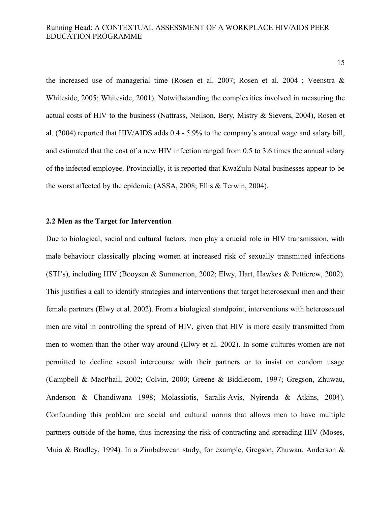15

the increased use of managerial time (Rosen et al. 2007; Rosen et al. 2004 ; Veenstra & Whiteside, 2005; Whiteside, 2001). Notwithstanding the complexities involved in measuring the actual costs of HIV to the business (Nattrass, Neilson, Bery, Mistry & Sievers, 2004), Rosen et al. (2004) reported that HIV/AIDS adds 0.4 - 5.9% to the company's annual wage and salary bill, and estimated that the cost of a new HIV infection ranged from 0.5 to 3.6 times the annual salary of the infected employee. Provincially, it is reported that KwaZulu-Natal businesses appear to be the worst affected by the epidemic (ASSA, 2008; Ellis & Terwin, 2004).

# **2.2 Men as the Target for Intervention**

Due to biological, social and cultural factors, men play a crucial role in HIV transmission, with male behaviour classically placing women at increased risk of sexually transmitted infections (STI's), including HIV (Booysen & Summerton, 2002; Elwy, Hart, Hawkes & Petticrew, 2002). This justifies a call to identify strategies and interventions that target heterosexual men and their female partners (Elwy et al. 2002). From a biological standpoint, interventions with heterosexual men are vital in controlling the spread of HIV, given that HIV is more easily transmitted from men to women than the other way around (Elwy et al. 2002). In some cultures women are not permitted to decline sexual intercourse with their partners or to insist on condom usage (Campbell & MacPhail, 2002; Colvin, 2000; Greene & Biddlecom, 1997; Gregson, Zhuwau, Anderson & Chandiwana 1998; Molassiotis, Saralis-Avis, Nyirenda & Atkins, 2004). Confounding this problem are social and cultural norms that allows men to have multiple partners outside of the home, thus increasing the risk of contracting and spreading HIV (Moses, Muia & Bradley, 1994). In a Zimbabwean study, for example, Gregson, Zhuwau, Anderson &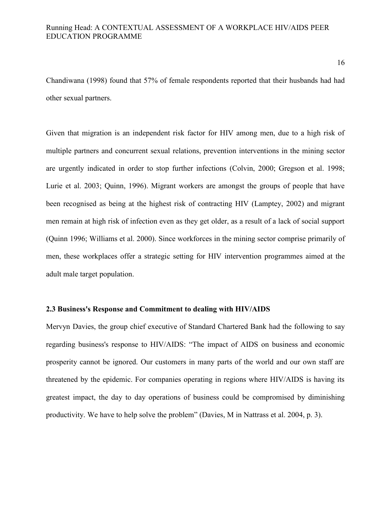Chandiwana (1998) found that 57% of female respondents reported that their husbands had had other sexual partners.

Given that migration is an independent risk factor for HIV among men, due to a high risk of multiple partners and concurrent sexual relations, prevention interventions in the mining sector are urgently indicated in order to stop further infections (Colvin, 2000; Gregson et al. 1998; Lurie et al. 2003; Quinn, 1996). Migrant workers are amongst the groups of people that have been recognised as being at the highest risk of contracting HIV (Lamptey, 2002) and migrant men remain at high risk of infection even as they get older, as a result of a lack of social support (Quinn 1996; Williams et al. 2000). Since workforces in the mining sector comprise primarily of men, these workplaces offer a strategic setting for HIV intervention programmes aimed at the adult male target population.

## **2.3 Business's Response and Commitment to dealing with HIV/AIDS**

Mervyn Davies, the group chief executive of Standard Chartered Bank had the following to say regarding business's response to HIV/AIDS: "The impact of AIDS on business and economic prosperity cannot be ignored. Our customers in many parts of the world and our own staff are threatened by the epidemic. For companies operating in regions where HIV/AIDS is having its greatest impact, the day to day operations of business could be compromised by diminishing productivity. We have to help solve the problem" (Davies, M in Nattrass et al. 2004, p. 3).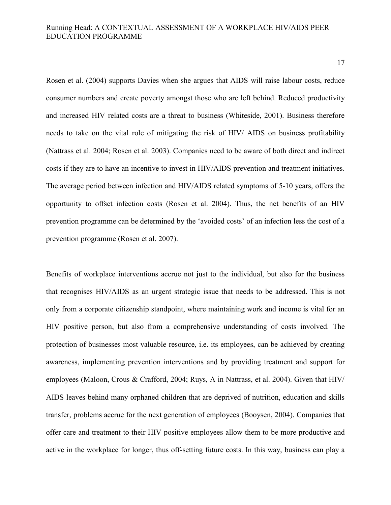17

Rosen et al. (2004) supports Davies when she argues that AIDS will raise labour costs, reduce consumer numbers and create poverty amongst those who are left behind. Reduced productivity and increased HIV related costs are a threat to business (Whiteside, 2001). Business therefore needs to take on the vital role of mitigating the risk of HIV/ AIDS on business profitability (Nattrass et al. 2004; Rosen et al. 2003). Companies need to be aware of both direct and indirect costs if they are to have an incentive to invest in HIV/AIDS prevention and treatment initiatives. The average period between infection and HIV/AIDS related symptoms of 5-10 years, offers the opportunity to offset infection costs (Rosen et al. 2004). Thus, the net benefits of an HIV prevention programme can be determined by the 'avoided costs' of an infection less the cost of a prevention programme (Rosen et al. 2007).

Benefits of workplace interventions accrue not just to the individual, but also for the business that recognises HIV/AIDS as an urgent strategic issue that needs to be addressed. This is not only from a corporate citizenship standpoint, where maintaining work and income is vital for an HIV positive person, but also from a comprehensive understanding of costs involved. The protection of businesses most valuable resource, i.e. its employees, can be achieved by creating awareness, implementing prevention interventions and by providing treatment and support for employees (Maloon, Crous & Crafford, 2004; Ruys, A in Nattrass, et al. 2004). Given that HIV/ AIDS leaves behind many orphaned children that are deprived of nutrition, education and skills transfer, problems accrue for the next generation of employees (Booysen, 2004). Companies that offer care and treatment to their HIV positive employees allow them to be more productive and active in the workplace for longer, thus off-setting future costs. In this way, business can play a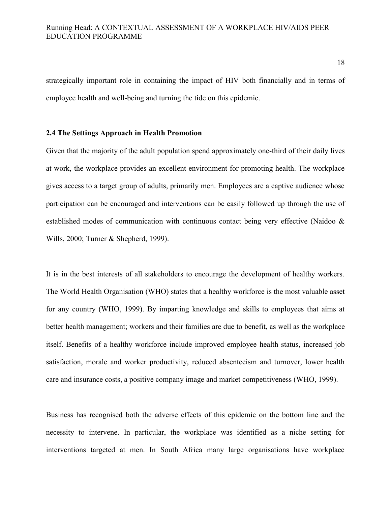strategically important role in containing the impact of HIV both financially and in terms of employee health and well-being and turning the tide on this epidemic.

### **2.4 The Settings Approach in Health Promotion**

Given that the majority of the adult population spend approximately one-third of their daily lives at work, the workplace provides an excellent environment for promoting health. The workplace gives access to a target group of adults, primarily men. Employees are a captive audience whose participation can be encouraged and interventions can be easily followed up through the use of established modes of communication with continuous contact being very effective (Naidoo & Wills, 2000; Turner & Shepherd, 1999).

It is in the best interests of all stakeholders to encourage the development of healthy workers. The World Health Organisation (WHO) states that a healthy workforce is the most valuable asset for any country (WHO, 1999). By imparting knowledge and skills to employees that aims at better health management; workers and their families are due to benefit, as well as the workplace itself. Benefits of a healthy workforce include improved employee health status, increased job satisfaction, morale and worker productivity, reduced absenteeism and turnover, lower health care and insurance costs, a positive company image and market competitiveness (WHO, 1999).

Business has recognised both the adverse effects of this epidemic on the bottom line and the necessity to intervene. In particular, the workplace was identified as a niche setting for interventions targeted at men. In South Africa many large organisations have workplace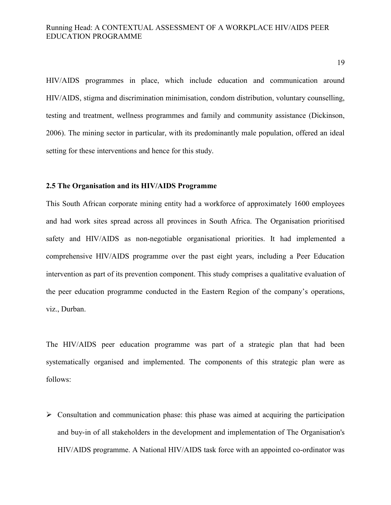HIV/AIDS programmes in place, which include education and communication around HIV/AIDS, stigma and discrimination minimisation, condom distribution, voluntary counselling, testing and treatment, wellness programmes and family and community assistance (Dickinson, 2006). The mining sector in particular, with its predominantly male population, offered an ideal setting for these interventions and hence for this study.

#### **2.5 The Organisation and its HIV/AIDS Programme**

This South African corporate mining entity had a workforce of approximately 1600 employees and had work sites spread across all provinces in South Africa. The Organisation prioritised safety and HIV/AIDS as non-negotiable organisational priorities. It had implemented a comprehensive HIV/AIDS programme over the past eight years, including a Peer Education intervention as part of its prevention component. This study comprises a qualitative evaluation of the peer education programme conducted in the Eastern Region of the company's operations, viz., Durban.

The HIV/AIDS peer education programme was part of a strategic plan that had been systematically organised and implemented. The components of this strategic plan were as follows:

 $\triangleright$  Consultation and communication phase: this phase was aimed at acquiring the participation and buy-in of all stakeholders in the development and implementation of The Organisation's HIV/AIDS programme. A National HIV/AIDS task force with an appointed co-ordinator was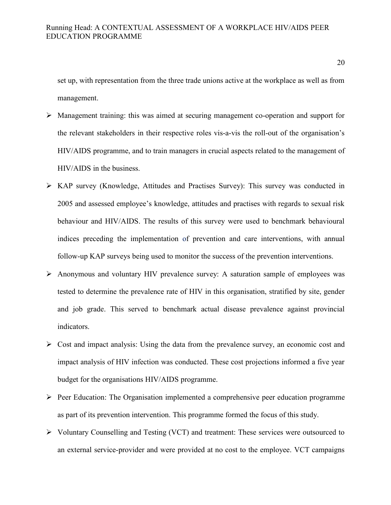set up, with representation from the three trade unions active at the workplace as well as from management.

- Management training: this was aimed at securing management co-operation and support for the relevant stakeholders in their respective roles vis-a-vis the roll-out of the organisation's HIV/AIDS programme, and to train managers in crucial aspects related to the management of HIV/AIDS in the business.
- KAP survey (Knowledge, Attitudes and Practises Survey): This survey was conducted in 2005 and assessed employee's knowledge, attitudes and practises with regards to sexual risk behaviour and HIV/AIDS. The results of this survey were used to benchmark behavioural indices preceding the implementation of prevention and care interventions, with annual follow-up KAP surveys being used to monitor the success of the prevention interventions.
- Anonymous and voluntary HIV prevalence survey: A saturation sample of employees was tested to determine the prevalence rate of HIV in this organisation, stratified by site, gender and job grade. This served to benchmark actual disease prevalence against provincial indicators.
- $\triangleright$  Cost and impact analysis: Using the data from the prevalence survey, an economic cost and impact analysis of HIV infection was conducted. These cost projections informed a five year budget for the organisations HIV/AIDS programme.
- $\triangleright$  Peer Education: The Organisation implemented a comprehensive peer education programme as part of its prevention intervention. This programme formed the focus of this study.
- Voluntary Counselling and Testing (VCT) and treatment: These services were outsourced to an external service-provider and were provided at no cost to the employee. VCT campaigns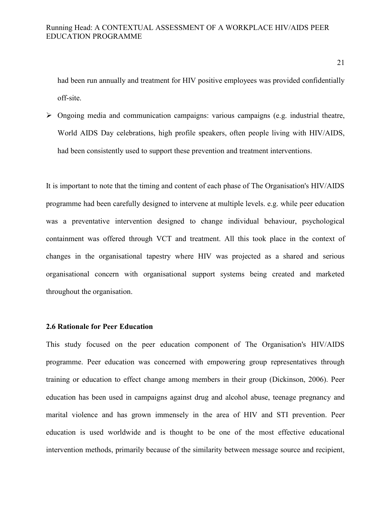had been run annually and treatment for HIV positive employees was provided confidentially off-site.

 $\triangleright$  Ongoing media and communication campaigns: various campaigns (e.g. industrial theatre, World AIDS Day celebrations, high profile speakers, often people living with HIV/AIDS, had been consistently used to support these prevention and treatment interventions.

It is important to note that the timing and content of each phase of The Organisation's HIV/AIDS programme had been carefully designed to intervene at multiple levels. e.g. while peer education was a preventative intervention designed to change individual behaviour, psychological containment was offered through VCT and treatment. All this took place in the context of changes in the organisational tapestry where HIV was projected as a shared and serious organisational concern with organisational support systems being created and marketed throughout the organisation.

#### **2.6 Rationale for Peer Education**

This study focused on the peer education component of The Organisation's HIV/AIDS programme. Peer education was concerned with empowering group representatives through training or education to effect change among members in their group (Dickinson, 2006). Peer education has been used in campaigns against drug and alcohol abuse, teenage pregnancy and marital violence and has grown immensely in the area of HIV and STI prevention. Peer education is used worldwide and is thought to be one of the most effective educational intervention methods, primarily because of the similarity between message source and recipient,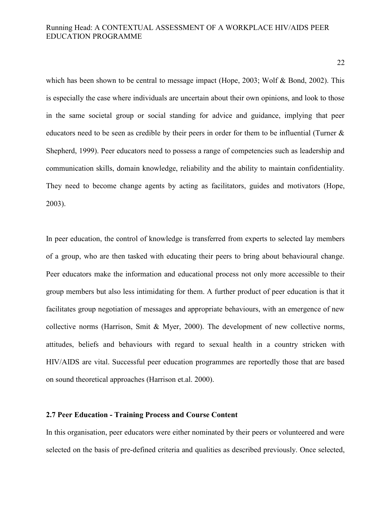which has been shown to be central to message impact (Hope, 2003; Wolf & Bond, 2002). This is especially the case where individuals are uncertain about their own opinions, and look to those in the same societal group or social standing for advice and guidance, implying that peer educators need to be seen as credible by their peers in order for them to be influential (Turner & Shepherd, 1999). Peer educators need to possess a range of competencies such as leadership and communication skills, domain knowledge, reliability and the ability to maintain confidentiality. They need to become change agents by acting as facilitators, guides and motivators (Hope, 2003).

In peer education, the control of knowledge is transferred from experts to selected lay members of a group, who are then tasked with educating their peers to bring about behavioural change. Peer educators make the information and educational process not only more accessible to their group members but also less intimidating for them. A further product of peer education is that it facilitates group negotiation of messages and appropriate behaviours, with an emergence of new collective norms (Harrison, Smit & Myer, 2000). The development of new collective norms, attitudes, beliefs and behaviours with regard to sexual health in a country stricken with HIV/AIDS are vital. Successful peer education programmes are reportedly those that are based on sound theoretical approaches (Harrison et.al. 2000).

#### **2.7 Peer Education - Training Process and Course Content**

In this organisation, peer educators were either nominated by their peers or volunteered and were selected on the basis of pre-defined criteria and qualities as described previously. Once selected,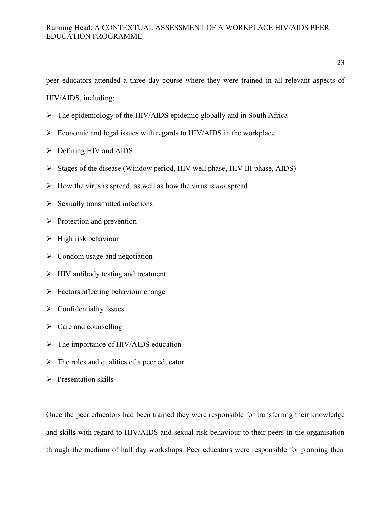peer educators attended a three day course where they were trained in all relevant aspects of

HIV/AIDS, including:

- $\triangleright$  The epidemiology of the HIV/AIDS epidemic globally and in South Africa
- $\triangleright$  Economic and legal issues with regards to HIV/AIDS in the workplace
- $\triangleright$  Defining HIV and AIDS
- $\triangleright$  Stages of the disease (Window period, HIV well phase, HIV III phase, AIDS)
- How the virus is spread, as well as how the virus is *not* spread
- $\triangleright$  Sexually transmitted infections
- $\triangleright$  Protection and prevention
- $\triangleright$  High risk behaviour
- $\triangleright$  Condom usage and negotiation
- $\triangleright$  HIV antibody testing and treatment
- $\triangleright$  Factors affecting behaviour change
- $\triangleright$  Confidentiality issues
- $\triangleright$  Care and counselling
- > The importance of HIV/AIDS education
- $\triangleright$  The roles and qualities of a peer educator
- $\triangleright$  Presentation skills

Once the peer educators had been trained they were responsible for transferring their knowledge and skills with regard to HIV/AIDS and sexual risk behaviour to their peers in the organisation through the medium of half day workshops. Peer educators were responsible for planning their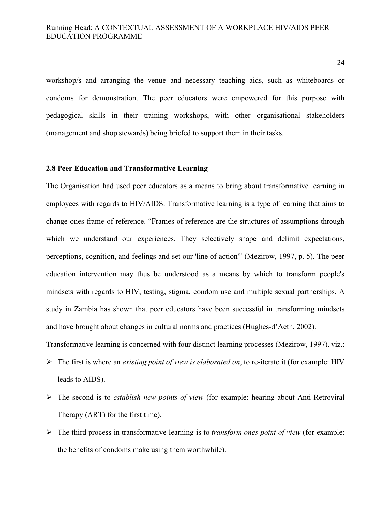workshop/s and arranging the venue and necessary teaching aids, such as whiteboards or condoms for demonstration. The peer educators were empowered for this purpose with pedagogical skills in their training workshops, with other organisational stakeholders (management and shop stewards) being briefed to support them in their tasks.

## **2.8 Peer Education and Transformative Learning**

The Organisation had used peer educators as a means to bring about transformative learning in employees with regards to HIV/AIDS. Transformative learning is a type of learning that aims to change ones frame of reference. "Frames of reference are the structures of assumptions through which we understand our experiences. They selectively shape and delimit expectations, perceptions, cognition, and feelings and set our 'line of action'" (Mezirow, 1997, p. 5). The peer education intervention may thus be understood as a means by which to transform people's mindsets with regards to HIV, testing, stigma, condom use and multiple sexual partnerships. A study in Zambia has shown that peer educators have been successful in transforming mindsets and have brought about changes in cultural norms and practices (Hughes-d'Aeth, 2002).

Transformative learning is concerned with four distinct learning processes (Mezirow, 1997). viz.:

- The first is where an *existing point of view is elaborated on*, to re-iterate it (for example: HIV leads to AIDS).
- The second is to *establish new points of view* (for example: hearing about Anti-Retroviral Therapy (ART) for the first time).
- The third process in transformative learning is to *transform ones point of view* (for example: the benefits of condoms make using them worthwhile).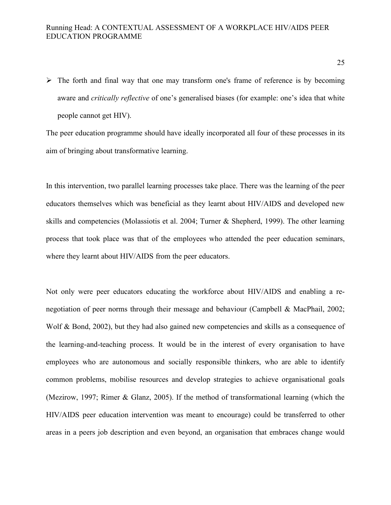$\triangleright$  The forth and final way that one may transform one's frame of reference is by becoming aware and *critically reflective* of one's generalised biases (for example: one's idea that white people cannot get HIV).

The peer education programme should have ideally incorporated all four of these processes in its aim of bringing about transformative learning.

In this intervention, two parallel learning processes take place. There was the learning of the peer educators themselves which was beneficial as they learnt about HIV/AIDS and developed new skills and competencies (Molassiotis et al. 2004; Turner & Shepherd, 1999). The other learning process that took place was that of the employees who attended the peer education seminars, where they learnt about HIV/AIDS from the peer educators.

Not only were peer educators educating the workforce about HIV/AIDS and enabling a renegotiation of peer norms through their message and behaviour (Campbell & MacPhail, 2002; Wolf & Bond, 2002), but they had also gained new competencies and skills as a consequence of the learning-and-teaching process. It would be in the interest of every organisation to have employees who are autonomous and socially responsible thinkers, who are able to identify common problems, mobilise resources and develop strategies to achieve organisational goals (Mezirow, 1997; Rimer & Glanz, 2005). If the method of transformational learning (which the HIV/AIDS peer education intervention was meant to encourage) could be transferred to other areas in a peers job description and even beyond, an organisation that embraces change would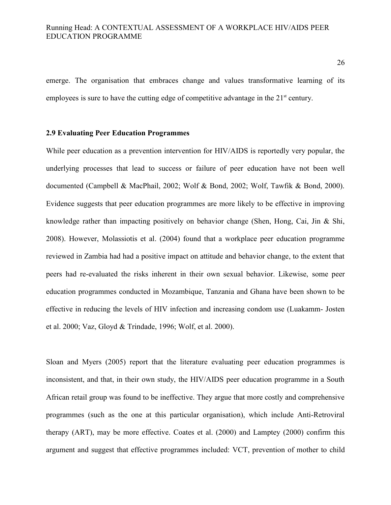emerge. The organisation that embraces change and values transformative learning of its employees is sure to have the cutting edge of competitive advantage in the  $21<sup>st</sup>$  century.

#### **2.9 Evaluating Peer Education Programmes**

While peer education as a prevention intervention for HIV/AIDS is reportedly very popular, the underlying processes that lead to success or failure of peer education have not been well documented (Campbell & MacPhail, 2002; Wolf & Bond, 2002; Wolf, Tawfik & Bond, 2000). Evidence suggests that peer education programmes are more likely to be effective in improving knowledge rather than impacting positively on behavior change (Shen, Hong, Cai, Jin & Shi, 2008). However, Molassiotis et al. (2004) found that a workplace peer education programme reviewed in Zambia had had a positive impact on attitude and behavior change, to the extent that peers had re-evaluated the risks inherent in their own sexual behavior. Likewise, some peer education programmes conducted in Mozambique, Tanzania and Ghana have been shown to be effective in reducing the levels of HIV infection and increasing condom use (Luakamm- Josten et al. 2000; Vaz, Gloyd & Trindade, 1996; Wolf, et al. 2000).

Sloan and Myers (2005) report that the literature evaluating peer education programmes is inconsistent, and that, in their own study, the HIV/AIDS peer education programme in a South African retail group was found to be ineffective. They argue that more costly and comprehensive programmes (such as the one at this particular organisation), which include Anti-Retroviral therapy (ART), may be more effective. Coates et al. (2000) and Lamptey (2000) confirm this argument and suggest that effective programmes included: VCT, prevention of mother to child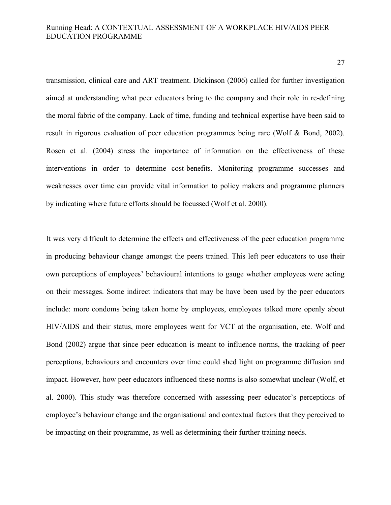transmission, clinical care and ART treatment. Dickinson (2006) called for further investigation aimed at understanding what peer educators bring to the company and their role in re-defining the moral fabric of the company. Lack of time, funding and technical expertise have been said to result in rigorous evaluation of peer education programmes being rare (Wolf & Bond, 2002). Rosen et al. (2004) stress the importance of information on the effectiveness of these interventions in order to determine cost-benefits. Monitoring programme successes and weaknesses over time can provide vital information to policy makers and programme planners by indicating where future efforts should be focussed (Wolf et al. 2000).

It was very difficult to determine the effects and effectiveness of the peer education programme in producing behaviour change amongst the peers trained. This left peer educators to use their own perceptions of employees' behavioural intentions to gauge whether employees were acting on their messages. Some indirect indicators that may be have been used by the peer educators include: more condoms being taken home by employees, employees talked more openly about HIV/AIDS and their status, more employees went for VCT at the organisation, etc. Wolf and Bond (2002) argue that since peer education is meant to influence norms, the tracking of peer perceptions, behaviours and encounters over time could shed light on programme diffusion and impact. However, how peer educators influenced these norms is also somewhat unclear (Wolf, et al. 2000). This study was therefore concerned with assessing peer educator's perceptions of employee's behaviour change and the organisational and contextual factors that they perceived to be impacting on their programme, as well as determining their further training needs.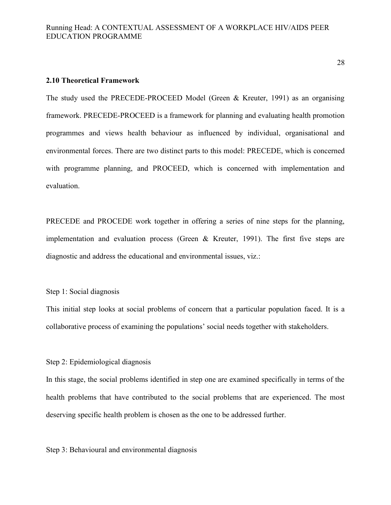#### **2.10 Theoretical Framework**

The study used the PRECEDE-PROCEED Model (Green & Kreuter, 1991) as an organising framework. PRECEDE-PROCEED is a framework for planning and evaluating health promotion programmes and views health behaviour as influenced by individual, organisational and environmental forces. There are two distinct parts to this model: PRECEDE, which is concerned with programme planning, and PROCEED, which is concerned with implementation and evaluation.

PRECEDE and PROCEDE work together in offering a series of nine steps for the planning, implementation and evaluation process (Green & Kreuter, 1991). The first five steps are diagnostic and address the educational and environmental issues, viz.:

### Step 1: Social diagnosis

This initial step looks at social problems of concern that a particular population faced. It is a collaborative process of examining the populations' social needs together with stakeholders.

### Step 2: Epidemiological diagnosis

In this stage, the social problems identified in step one are examined specifically in terms of the health problems that have contributed to the social problems that are experienced. The most deserving specific health problem is chosen as the one to be addressed further.

Step 3: Behavioural and environmental diagnosis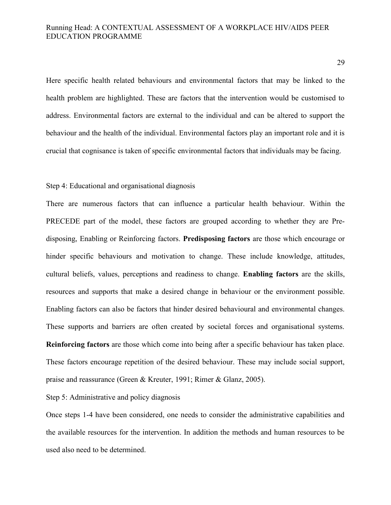Here specific health related behaviours and environmental factors that may be linked to the health problem are highlighted. These are factors that the intervention would be customised to address. Environmental factors are external to the individual and can be altered to support the behaviour and the health of the individual. Environmental factors play an important role and it is crucial that cognisance is taken of specific environmental factors that individuals may be facing.

#### Step 4: Educational and organisational diagnosis

There are numerous factors that can influence a particular health behaviour. Within the PRECEDE part of the model, these factors are grouped according to whether they are Predisposing, Enabling or Reinforcing factors. **Predisposing factors** are those which encourage or hinder specific behaviours and motivation to change. These include knowledge, attitudes, cultural beliefs, values, perceptions and readiness to change. **Enabling factors** are the skills, resources and supports that make a desired change in behaviour or the environment possible. Enabling factors can also be factors that hinder desired behavioural and environmental changes. These supports and barriers are often created by societal forces and organisational systems. **Reinforcing factors** are those which come into being after a specific behaviour has taken place. These factors encourage repetition of the desired behaviour. These may include social support, praise and reassurance (Green & Kreuter, 1991; Rimer & Glanz, 2005).

Step 5: Administrative and policy diagnosis

Once steps 1-4 have been considered, one needs to consider the administrative capabilities and the available resources for the intervention. In addition the methods and human resources to be used also need to be determined.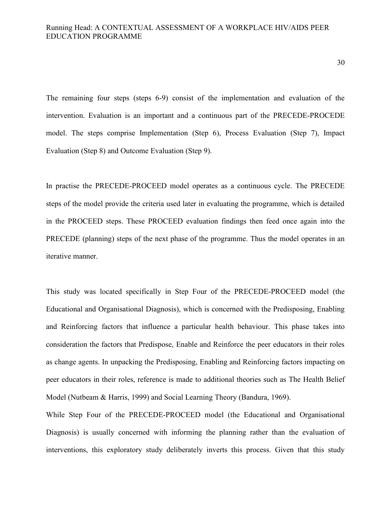30

The remaining four steps (steps 6-9) consist of the implementation and evaluation of the intervention. Evaluation is an important and a continuous part of the PRECEDE-PROCEDE model. The steps comprise Implementation (Step 6), Process Evaluation (Step 7), Impact Evaluation (Step 8) and Outcome Evaluation (Step 9).

In practise the PRECEDE-PROCEED model operates as a continuous cycle. The PRECEDE steps of the model provide the criteria used later in evaluating the programme, which is detailed in the PROCEED steps. These PROCEED evaluation findings then feed once again into the PRECEDE (planning) steps of the next phase of the programme. Thus the model operates in an iterative manner.

This study was located specifically in Step Four of the PRECEDE-PROCEED model (the Educational and Organisational Diagnosis), which is concerned with the Predisposing, Enabling and Reinforcing factors that influence a particular health behaviour. This phase takes into consideration the factors that Predispose, Enable and Reinforce the peer educators in their roles as change agents. In unpacking the Predisposing, Enabling and Reinforcing factors impacting on peer educators in their roles, reference is made to additional theories such as The Health Belief Model (Nutbeam & Harris, 1999) and Social Learning Theory (Bandura, 1969).

While Step Four of the PRECEDE-PROCEED model (the Educational and Organisational Diagnosis) is usually concerned with informing the planning rather than the evaluation of interventions, this exploratory study deliberately inverts this process. Given that this study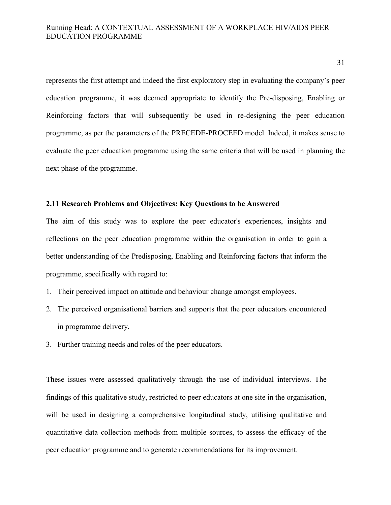represents the first attempt and indeed the first exploratory step in evaluating the company's peer education programme, it was deemed appropriate to identify the Pre-disposing, Enabling or Reinforcing factors that will subsequently be used in re-designing the peer education programme, as per the parameters of the PRECEDE-PROCEED model. Indeed, it makes sense to evaluate the peer education programme using the same criteria that will be used in planning the next phase of the programme.

## **2.11 Research Problems and Objectives: Key Questions to be Answered**

The aim of this study was to explore the peer educator's experiences, insights and reflections on the peer education programme within the organisation in order to gain a better understanding of the Predisposing, Enabling and Reinforcing factors that inform the programme, specifically with regard to:

- 1. Their perceived impact on attitude and behaviour change amongst employees.
- 2. The perceived organisational barriers and supports that the peer educators encountered in programme delivery.
- 3. Further training needs and roles of the peer educators.

These issues were assessed qualitatively through the use of individual interviews. The findings of this qualitative study, restricted to peer educators at one site in the organisation, will be used in designing a comprehensive longitudinal study, utilising qualitative and quantitative data collection methods from multiple sources, to assess the efficacy of the peer education programme and to generate recommendations for its improvement.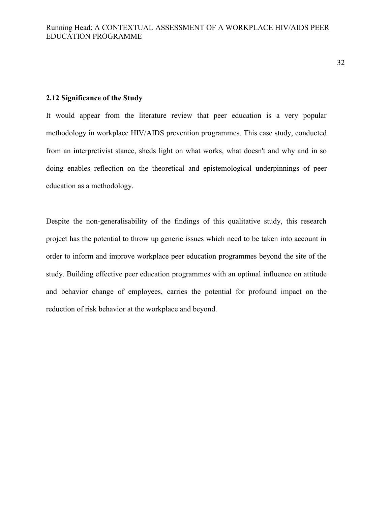#### **2.12 Significance of the Study**

It would appear from the literature review that peer education is a very popular methodology in workplace HIV/AIDS prevention programmes. This case study, conducted from an interpretivist stance, sheds light on what works, what doesn't and why and in so doing enables reflection on the theoretical and epistemological underpinnings of peer education as a methodology.

Despite the non-generalisability of the findings of this qualitative study, this research project has the potential to throw up generic issues which need to be taken into account in order to inform and improve workplace peer education programmes beyond the site of the study. Building effective peer education programmes with an optimal influence on attitude and behavior change of employees, carries the potential for profound impact on the reduction of risk behavior at the workplace and beyond.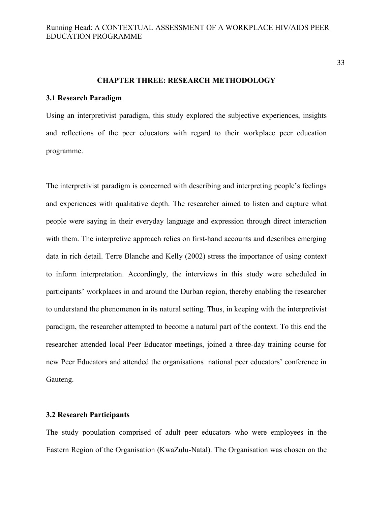33

#### **CHAPTER THREE: RESEARCH METHODOLOGY**

#### **3.1 Research Paradigm**

Using an interpretivist paradigm, this study explored the subjective experiences, insights and reflections of the peer educators with regard to their workplace peer education programme.

The interpretivist paradigm is concerned with describing and interpreting people's feelings and experiences with qualitative depth. The researcher aimed to listen and capture what people were saying in their everyday language and expression through direct interaction with them. The interpretive approach relies on first-hand accounts and describes emerging data in rich detail. Terre Blanche and Kelly (2002) stress the importance of using context to inform interpretation. Accordingly, the interviews in this study were scheduled in participants' workplaces in and around the Durban region, thereby enabling the researcher to understand the phenomenon in its natural setting. Thus, in keeping with the interpretivist paradigm, the researcher attempted to become a natural part of the context. To this end the researcher attended local Peer Educator meetings, joined a three-day training course for new Peer Educators and attended the organisations national peer educators' conference in Gauteng.

#### **3.2 Research Participants**

The study population comprised of adult peer educators who were employees in the Eastern Region of the Organisation (KwaZulu-Natal). The Organisation was chosen on the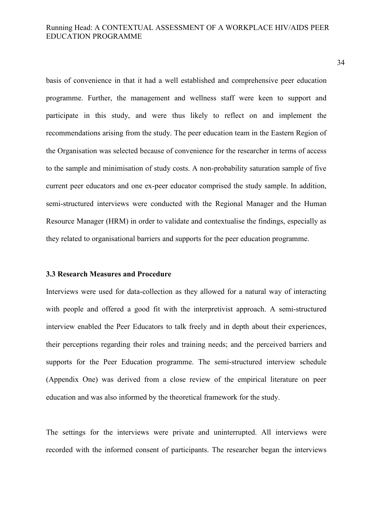basis of convenience in that it had a well established and comprehensive peer education programme. Further, the management and wellness staff were keen to support and participate in this study, and were thus likely to reflect on and implement the recommendations arising from the study. The peer education team in the Eastern Region of the Organisation was selected because of convenience for the researcher in terms of access to the sample and minimisation of study costs. A non-probability saturation sample of five current peer educators and one ex-peer educator comprised the study sample. In addition, semi-structured interviews were conducted with the Regional Manager and the Human Resource Manager (HRM) in order to validate and contextualise the findings, especially as they related to organisational barriers and supports for the peer education programme.

# **3.3 Research Measures and Procedure**

Interviews were used for data-collection as they allowed for a natural way of interacting with people and offered a good fit with the interpretivist approach. A semi-structured interview enabled the Peer Educators to talk freely and in depth about their experiences, their perceptions regarding their roles and training needs; and the perceived barriers and supports for the Peer Education programme. The semi-structured interview schedule (Appendix One) was derived from a close review of the empirical literature on peer education and was also informed by the theoretical framework for the study.

The settings for the interviews were private and uninterrupted. All interviews were recorded with the informed consent of participants. The researcher began the interviews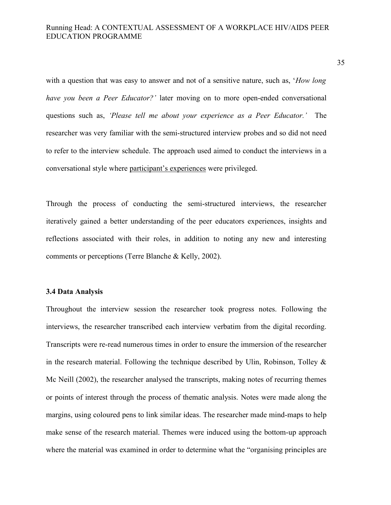with a question that was easy to answer and not of a sensitive nature, such as, '*How long have you been a Peer Educator?'* later moving on to more open-ended conversational questions such as, *'Please tell me about your experience as a Peer Educator.'* The researcher was very familiar with the semi-structured interview probes and so did not need to refer to the interview schedule. The approach used aimed to conduct the interviews in a conversational style where participant's experiences were privileged.

Through the process of conducting the semi-structured interviews, the researcher iteratively gained a better understanding of the peer educators experiences, insights and reflections associated with their roles, in addition to noting any new and interesting comments or perceptions (Terre Blanche & Kelly, 2002).

# **3.4 Data Analysis**

Throughout the interview session the researcher took progress notes. Following the interviews, the researcher transcribed each interview verbatim from the digital recording. Transcripts were re-read numerous times in order to ensure the immersion of the researcher in the research material. Following the technique described by Ulin, Robinson, Tolley  $\&$ Mc Neill (2002), the researcher analysed the transcripts, making notes of recurring themes or points of interest through the process of thematic analysis. Notes were made along the margins, using coloured pens to link similar ideas. The researcher made mind-maps to help make sense of the research material. Themes were induced using the bottom-up approach where the material was examined in order to determine what the "organising principles are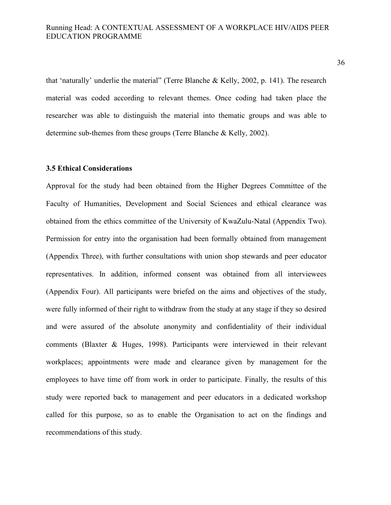that 'naturally' underlie the material" (Terre Blanche & Kelly, 2002, p. 141). The research material was coded according to relevant themes. Once coding had taken place the researcher was able to distinguish the material into thematic groups and was able to determine sub-themes from these groups (Terre Blanche & Kelly, 2002).

## **3.5 Ethical Considerations**

Approval for the study had been obtained from the Higher Degrees Committee of the Faculty of Humanities, Development and Social Sciences and ethical clearance was obtained from the ethics committee of the University of KwaZulu-Natal (Appendix Two). Permission for entry into the organisation had been formally obtained from management (Appendix Three), with further consultations with union shop stewards and peer educator representatives. In addition, informed consent was obtained from all interviewees (Appendix Four). All participants were briefed on the aims and objectives of the study, were fully informed of their right to withdraw from the study at any stage if they so desired and were assured of the absolute anonymity and confidentiality of their individual comments (Blaxter & Huges, 1998). Participants were interviewed in their relevant workplaces; appointments were made and clearance given by management for the employees to have time off from work in order to participate. Finally, the results of this study were reported back to management and peer educators in a dedicated workshop called for this purpose, so as to enable the Organisation to act on the findings and recommendations of this study.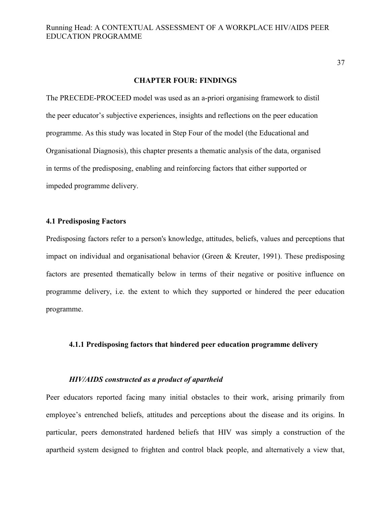#### **CHAPTER FOUR: FINDINGS**

The PRECEDE-PROCEED model was used as an a-priori organising framework to distil the peer educator's subjective experiences, insights and reflections on the peer education programme. As this study was located in Step Four of the model (the Educational and Organisational Diagnosis), this chapter presents a thematic analysis of the data, organised in terms of the predisposing, enabling and reinforcing factors that either supported or impeded programme delivery.

# **4.1 Predisposing Factors**

Predisposing factors refer to a person's knowledge, attitudes, beliefs, values and perceptions that impact on individual and organisational behavior (Green & Kreuter, 1991). These predisposing factors are presented thematically below in terms of their negative or positive influence on programme delivery, i.e. the extent to which they supported or hindered the peer education programme.

# **4.1.1 Predisposing factors that hindered peer education programme delivery**

#### *HIV/AIDS constructed as a product of apartheid*

Peer educators reported facing many initial obstacles to their work, arising primarily from employee's entrenched beliefs, attitudes and perceptions about the disease and its origins. In particular, peers demonstrated hardened beliefs that HIV was simply a construction of the apartheid system designed to frighten and control black people, and alternatively a view that,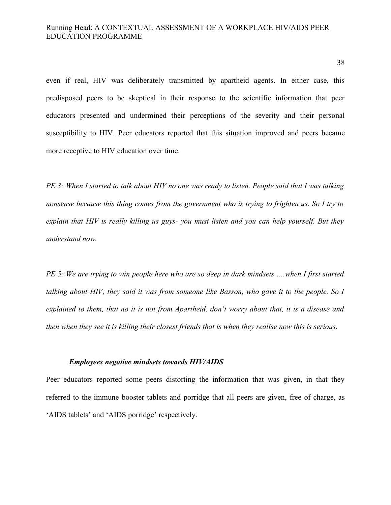even if real, HIV was deliberately transmitted by apartheid agents. In either case, this predisposed peers to be skeptical in their response to the scientific information that peer educators presented and undermined their perceptions of the severity and their personal susceptibility to HIV. Peer educators reported that this situation improved and peers became more receptive to HIV education over time.

*PE 3: When I started to talk about HIV no one was ready to listen. People said that I was talking nonsense because this thing comes from the government who is trying to frighten us. So I try to explain that HIV is really killing us guys- you must listen and you can help yourself. But they understand now.*

*PE 5: We are trying to win people here who are so deep in dark mindsets ….when I first started talking about HIV, they said it was from someone like Basson, who gave it to the people. So I explained to them, that no it is not from Apartheid, don't worry about that, it is a disease and then when they see it is killing their closest friends that is when they realise now this is serious.* 

#### *Employees negative mindsets towards HIV/AIDS*

Peer educators reported some peers distorting the information that was given, in that they referred to the immune booster tablets and porridge that all peers are given, free of charge, as 'AIDS tablets' and 'AIDS porridge' respectively.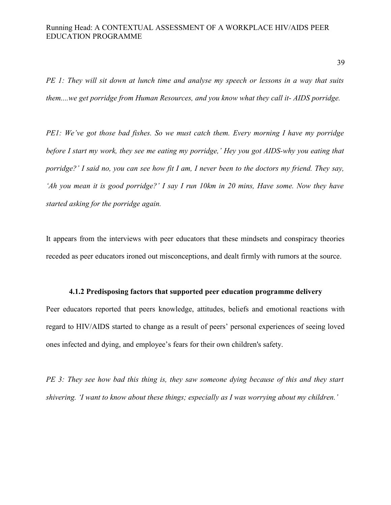*PE 1: They will sit down at lunch time and analyse my speech or lessons in a way that suits them....we get porridge from Human Resources, and you know what they call it- AIDS porridge.*

*PE1: We've got those bad fishes. So we must catch them. Every morning I have my porridge before I start my work, they see me eating my porridge,' Hey you got AIDS-why you eating that porridge?' I said no, you can see how fit I am, I never been to the doctors my friend. They say, 'Ah you mean it is good porridge?' I say I run 10km in 20 mins, Have some. Now they have started asking for the porridge again.* 

It appears from the interviews with peer educators that these mindsets and conspiracy theories receded as peer educators ironed out misconceptions, and dealt firmly with rumors at the source.

# **4.1.2 Predisposing factors that supported peer education programme delivery**

Peer educators reported that peers knowledge, attitudes, beliefs and emotional reactions with regard to HIV/AIDS started to change as a result of peers' personal experiences of seeing loved ones infected and dying, and employee's fears for their own children's safety.

*PE 3: They see how bad this thing is, they saw someone dying because of this and they start shivering. 'I want to know about these things; especially as I was worrying about my children.'*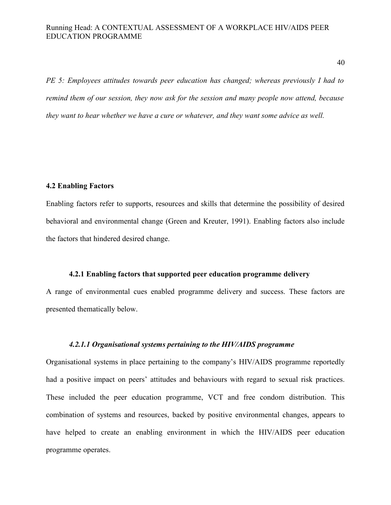*PE 5: Employees attitudes towards peer education has changed; whereas previously I had to remind them of our session, they now ask for the session and many people now attend, because they want to hear whether we have a cure or whatever, and they want some advice as well.* 

# **4.2 Enabling Factors**

Enabling factors refer to supports, resources and skills that determine the possibility of desired behavioral and environmental change (Green and Kreuter, 1991). Enabling factors also include the factors that hindered desired change.

# **4.2.1 Enabling factors that supported peer education programme delivery**

A range of environmental cues enabled programme delivery and success. These factors are presented thematically below.

# *4.2.1.1 Organisational systems pertaining to the HIV/AIDS programme*

Organisational systems in place pertaining to the company's HIV/AIDS programme reportedly had a positive impact on peers' attitudes and behaviours with regard to sexual risk practices. These included the peer education programme, VCT and free condom distribution. This combination of systems and resources, backed by positive environmental changes, appears to have helped to create an enabling environment in which the HIV/AIDS peer education programme operates.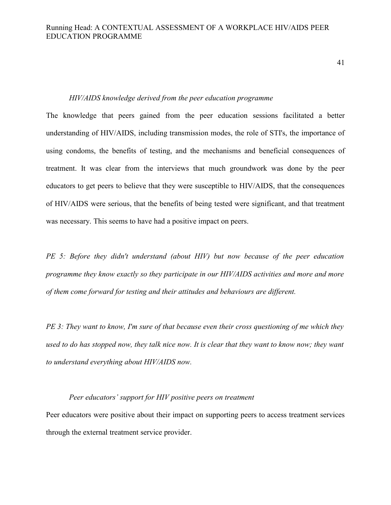41

#### *HIV/AIDS knowledge derived from the peer education programme*

The knowledge that peers gained from the peer education sessions facilitated a better understanding of HIV/AIDS, including transmission modes, the role of STI's, the importance of using condoms, the benefits of testing, and the mechanisms and beneficial consequences of treatment. It was clear from the interviews that much groundwork was done by the peer educators to get peers to believe that they were susceptible to HIV/AIDS, that the consequences of HIV/AIDS were serious, that the benefits of being tested were significant, and that treatment was necessary. This seems to have had a positive impact on peers.

*PE 5: Before they didn't understand (about HIV) but now because of the peer education programme they know exactly so they participate in our HIV/AIDS activities and more and more of them come forward for testing and their attitudes and behaviours are different.*

*PE 3: They want to know, I'm sure of that because even their cross questioning of me which they used to do has stopped now, they talk nice now. It is clear that they want to know now; they want to understand everything about HIV/AIDS now.*

# *Peer educators' support for HIV positive peers on treatment*

Peer educators were positive about their impact on supporting peers to access treatment services through the external treatment service provider.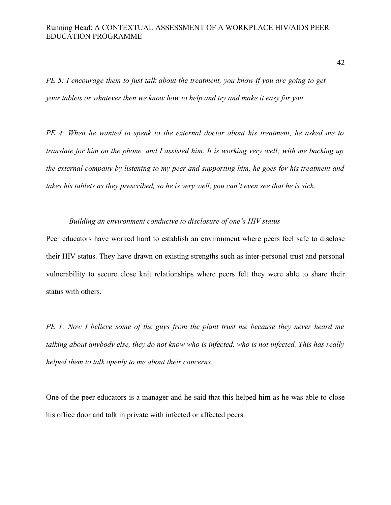*PE 5: I encourage them to just talk about the treatment, you know if you are going to get your tablets or whatever then we know how to help and try and make it easy for you.* 

*PE 4: When he wanted to speak to the external doctor about his treatment, he asked me to translate for him on the phone, and I assisted him. It is working very well; with me backing up the external company by listening to my peer and supporting him, he goes for his treatment and takes his tablets as they prescribed, so he is very well, you can't even see that he is sick.* 

# *Building an environment conducive to disclosure of one's HIV status*

Peer educators have worked hard to establish an environment where peers feel safe to disclose their HIV status. They have drawn on existing strengths such as inter-personal trust and personal vulnerability to secure close knit relationships where peers felt they were able to share their status with others.

*PE 1: Now I believe some of the guys from the plant trust me because they never heard me talking about anybody else, they do not know who is infected, who is not infected. This has really helped them to talk openly to me about their concerns.*

One of the peer educators is a manager and he said that this helped him as he was able to close his office door and talk in private with infected or affected peers.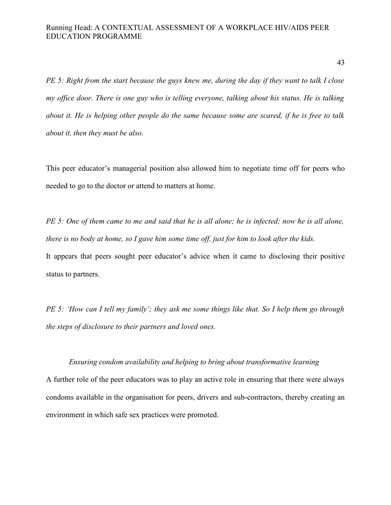*PE 5: Right from the start because the guys knew me, during the day if they want to talk I close my office door. There is one guy who is telling everyone, talking about his status. He is talking about it. He is helping other people do the same because some are scared, if he is free to talk about it, then they must be also.* 

This peer educator's managerial position also allowed him to negotiate time off for peers who needed to go to the doctor or attend to matters at home.

*PE 5: One of them came to me and said that he is all alone; he is infected; now he is all alone, there is no body at home, so I gave him some time off, just for him to look after the kids.*  It appears that peers sought peer educator's advice when it came to disclosing their positive status to partners.

*PE 5: 'How can I tell my family'; they ask me some things like that. So I help them go through the steps of disclosure to their partners and loved ones.*

#### *Ensuring condom availability and helping to bring about transformative learning*

A further role of the peer educators was to play an active role in ensuring that there were always condoms available in the organisation for peers, drivers and sub-contractors, thereby creating an environment in which safe sex practices were promoted.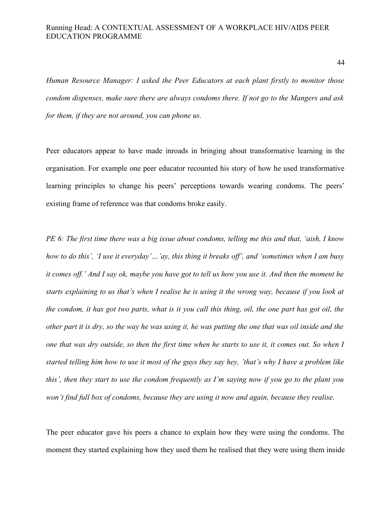*Human Resource Manager: I asked the Peer Educators at each plant firstly to monitor those condom dispenses, make sure there are always condoms there. If not go to the Mangers and ask for them, if they are not around, you can phone us.*

Peer educators appear to have made inroads in bringing about transformative learning in the organisation. For example one peer educator recounted his story of how he used transformative learning principles to change his peers' perceptions towards wearing condoms. The peers' existing frame of reference was that condoms broke easily.

*PE 6: The first time there was a big issue about condoms, telling me this and that, 'aish, I know how to do this', 'I use it everyday'…'ay, this thing it breaks off', and 'sometimes when I am busy it comes off.' And I say ok, maybe you have got to tell us how you use it. And then the moment he starts explaining to us that's when I realise he is using it the wrong way, because if you look at the condom, it has got two parts, what is it you call this thing, oil, the one part has got oil, the other part it is dry, so the way he was using it, he was putting the one that was oil inside and the one that was dry outside, so then the first time when he starts to use it, it comes out. So when I started telling him how to use it most of the guys they say hey, 'that's why I have a problem like this', then they start to use the condom frequently as I'm saying now if you go to the plant you won't find full box of condoms, because they are using it now and again, because they realise.* 

The peer educator gave his peers a chance to explain how they were using the condoms. The moment they started explaining how they used them he realised that they were using them inside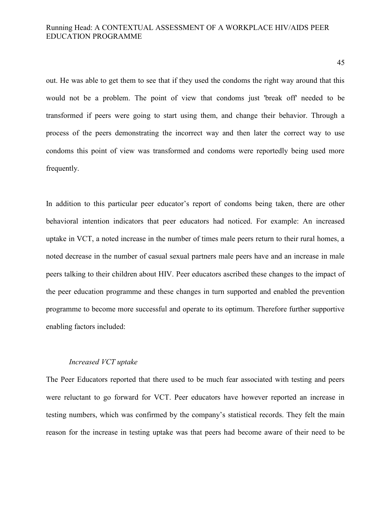out. He was able to get them to see that if they used the condoms the right way around that this would not be a problem. The point of view that condoms just 'break off' needed to be transformed if peers were going to start using them, and change their behavior. Through a process of the peers demonstrating the incorrect way and then later the correct way to use condoms this point of view was transformed and condoms were reportedly being used more frequently.

In addition to this particular peer educator's report of condoms being taken, there are other behavioral intention indicators that peer educators had noticed. For example: An increased uptake in VCT, a noted increase in the number of times male peers return to their rural homes, a noted decrease in the number of casual sexual partners male peers have and an increase in male peers talking to their children about HIV. Peer educators ascribed these changes to the impact of the peer education programme and these changes in turn supported and enabled the prevention programme to become more successful and operate to its optimum. Therefore further supportive enabling factors included:

#### *Increased VCT uptake*

The Peer Educators reported that there used to be much fear associated with testing and peers were reluctant to go forward for VCT. Peer educators have however reported an increase in testing numbers, which was confirmed by the company's statistical records. They felt the main reason for the increase in testing uptake was that peers had become aware of their need to be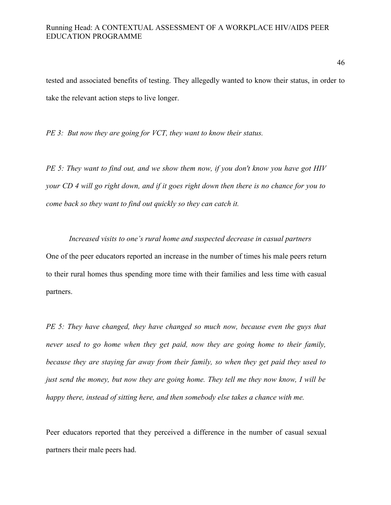tested and associated benefits of testing. They allegedly wanted to know their status, in order to take the relevant action steps to live longer.

*PE 3: But now they are going for VCT, they want to know their status.*

*PE 5: They want to find out, and we show them now, if you don't know you have got HIV your CD 4 will go right down, and if it goes right down then there is no chance for you to come back so they want to find out quickly so they can catch it.* 

*Increased visits to one's rural home and suspected decrease in casual partners*  One of the peer educators reported an increase in the number of times his male peers return to their rural homes thus spending more time with their families and less time with casual partners.

*PE 5: They have changed, they have changed so much now, because even the guys that never used to go home when they get paid, now they are going home to their family, because they are staying far away from their family, so when they get paid they used to just send the money, but now they are going home. They tell me they now know, I will be happy there, instead of sitting here, and then somebody else takes a chance with me.*

Peer educators reported that they perceived a difference in the number of casual sexual partners their male peers had.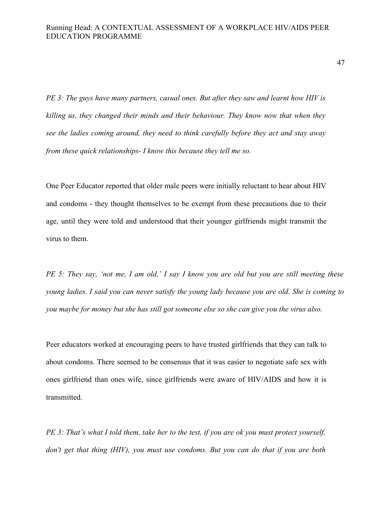*PE 3: The guys have many partners, casual ones. But after they saw and learnt how HIV is killing us, they changed their minds and their behaviour. They know now that when they see the ladies coming around, they need to think carefully before they act and stay away from these quick relationships- I know this because they tell me so.* 

One Peer Educator reported that older male peers were initially reluctant to hear about HIV and condoms - they thought themselves to be exempt from these precautions due to their age, until they were told and understood that their younger girlfriends might transmit the virus to them.

*PE 5: They say, 'not me, I am old,' I say I know you are old but you are still meeting these young ladies. I said you can never satisfy the young lady because you are old. She is coming to you maybe for money but she has still got someone else so she can give you the virus also.* 

Peer educators worked at encouraging peers to have trusted girlfriends that they can talk to about condoms. There seemed to be consensus that it was easier to negotiate safe sex with ones girlfriend than ones wife, since girlfriends were aware of HIV/AIDS and how it is transmitted.

*PE 3: That's what I told them, take her to the test, if you are ok you must protect yourself, don't get that thing (HIV), you must use condoms. But you can do that if you are both*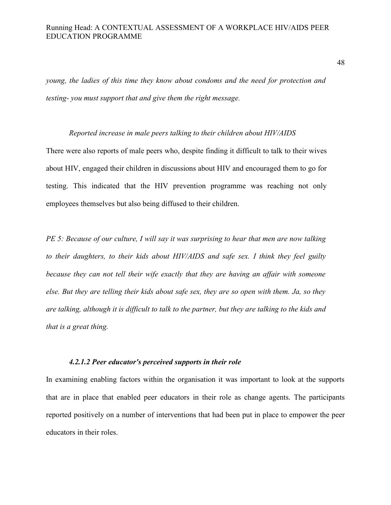*young, the ladies of this time they know about condoms and the need for protection and testing- you must support that and give them the right message.* 

#### *Reported increase in male peers talking to their children about HIV/AIDS*

There were also reports of male peers who, despite finding it difficult to talk to their wives about HIV, engaged their children in discussions about HIV and encouraged them to go for testing. This indicated that the HIV prevention programme was reaching not only employees themselves but also being diffused to their children.

*PE 5: Because of our culture, I will say it was surprising to hear that men are now talking to their daughters, to their kids about HIV/AIDS and safe sex. I think they feel guilty because they can not tell their wife exactly that they are having an affair with someone else. But they are telling their kids about safe sex, they are so open with them. Ja, so they are talking, although it is difficult to talk to the partner, but they are talking to the kids and that is a great thing.*

# *4.2.1.2 Peer educator's perceived supports in their role*

In examining enabling factors within the organisation it was important to look at the supports that are in place that enabled peer educators in their role as change agents. The participants reported positively on a number of interventions that had been put in place to empower the peer educators in their roles.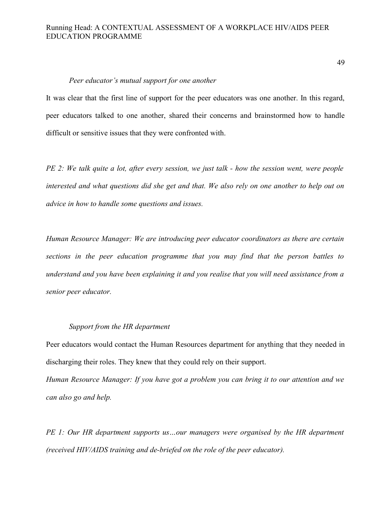#### *Peer educator's mutual support for one another*

It was clear that the first line of support for the peer educators was one another. In this regard, peer educators talked to one another, shared their concerns and brainstormed how to handle difficult or sensitive issues that they were confronted with.

*PE 2: We talk quite a lot, after every session, we just talk - how the session went, were people interested and what questions did she get and that. We also rely on one another to help out on advice in how to handle some questions and issues.*

*Human Resource Manager: We are introducing peer educator coordinators as there are certain sections in the peer education programme that you may find that the person battles to understand and you have been explaining it and you realise that you will need assistance from a senior peer educator.* 

#### *Support from the HR department*

Peer educators would contact the Human Resources department for anything that they needed in discharging their roles. They knew that they could rely on their support.

*Human Resource Manager: If you have got a problem you can bring it to our attention and we can also go and help.* 

*PE 1: Our HR department supports us…our managers were organised by the HR department (received HIV/AIDS training and de-briefed on the role of the peer educator).*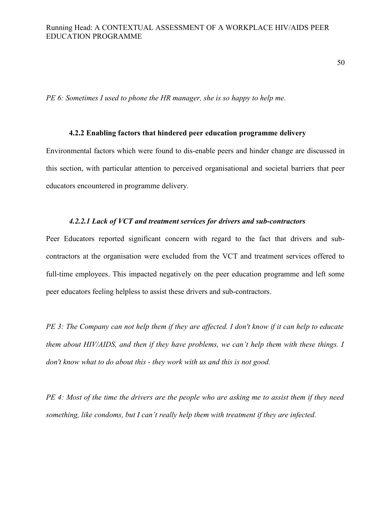50

*PE 6: Sometimes I used to phone the HR manager, she is so happy to help me.*

# **4.2.2 Enabling factors that hindered peer education programme delivery**

Environmental factors which were found to dis-enable peers and hinder change are discussed in this section, with particular attention to perceived organisational and societal barriers that peer educators encountered in programme delivery.

#### *4.2.2.1 Lack of VCT and treatment services for drivers and sub-contractors*

Peer Educators reported significant concern with regard to the fact that drivers and subcontractors at the organisation were excluded from the VCT and treatment services offered to full-time employees. This impacted negatively on the peer education programme and left some peer educators feeling helpless to assist these drivers and sub-contractors.

*PE 3: The Company can not help them if they are affected. I don't know if it can help to educate them about HIV/AIDS, and then if they have problems, we can't help them with these things. I don't know what to do about this - they work with us and this is not good.*

*PE 4: Most of the time the drivers are the people who are asking me to assist them if they need something, like condoms, but I can't really help them with treatment if they are infected.*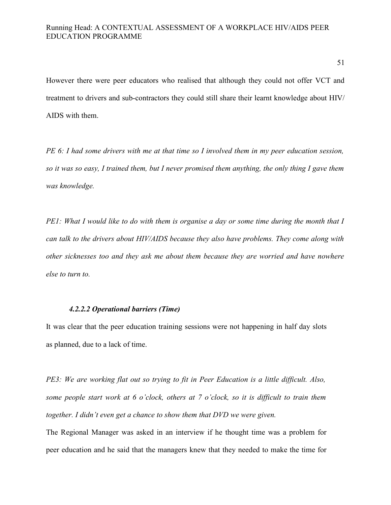51

However there were peer educators who realised that although they could not offer VCT and treatment to drivers and sub-contractors they could still share their learnt knowledge about HIV/ AIDS with them.

*PE 6: I had some drivers with me at that time so I involved them in my peer education session, so it was so easy, I trained them, but I never promised them anything, the only thing I gave them was knowledge.*

*PE1: What I would like to do with them is organise a day or some time during the month that I can talk to the drivers about HIV/AIDS because they also have problems. They come along with other sicknesses too and they ask me about them because they are worried and have nowhere else to turn to.* 

# *4.2.2.2 Operational barriers (Time)*

It was clear that the peer education training sessions were not happening in half day slots as planned, due to a lack of time.

*PE3: We are working flat out so trying to fit in Peer Education is a little difficult. Also, some people start work at 6 o'clock, others at 7 o'clock, so it is difficult to train them together. I didn't even get a chance to show them that DVD we were given.* 

The Regional Manager was asked in an interview if he thought time was a problem for peer education and he said that the managers knew that they needed to make the time for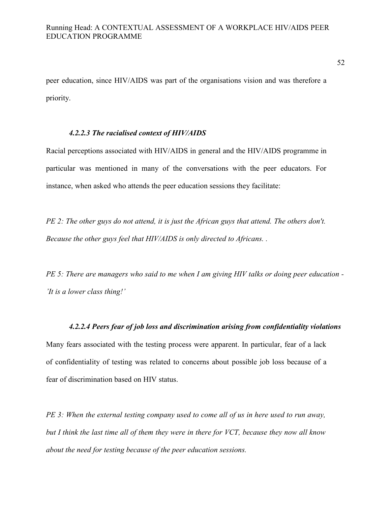peer education, since HIV/AIDS was part of the organisations vision and was therefore a priority.

# *4.2.2.3 The racialised context of HIV/AIDS*

Racial perceptions associated with HIV/AIDS in general and the HIV/AIDS programme in particular was mentioned in many of the conversations with the peer educators. For instance, when asked who attends the peer education sessions they facilitate:

*PE 2: The other guys do not attend, it is just the African guys that attend. The others don't. Because the other guys feel that HIV/AIDS is only directed to Africans. .*

*PE 5: There are managers who said to me when I am giving HIV talks or doing peer education - 'It is a lower class thing!'* 

#### *4.2.2.4 Peers fear of job loss and discrimination arising from confidentiality violations*

Many fears associated with the testing process were apparent. In particular, fear of a lack of confidentiality of testing was related to concerns about possible job loss because of a fear of discrimination based on HIV status.

*PE 3: When the external testing company used to come all of us in here used to run away, but I think the last time all of them they were in there for VCT, because they now all know about the need for testing because of the peer education sessions.*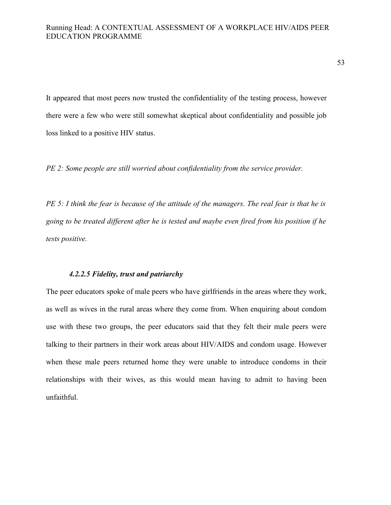53

It appeared that most peers now trusted the confidentiality of the testing process, however there were a few who were still somewhat skeptical about confidentiality and possible job loss linked to a positive HIV status.

*PE 2: Some people are still worried about confidentiality from the service provider.* 

*PE 5: I think the fear is because of the attitude of the managers. The real fear is that he is going to be treated different after he is tested and maybe even fired from his position if he tests positive.* 

# *4.2.2.5 Fidelity, trust and patriarchy*

The peer educators spoke of male peers who have girlfriends in the areas where they work, as well as wives in the rural areas where they come from. When enquiring about condom use with these two groups, the peer educators said that they felt their male peers were talking to their partners in their work areas about HIV/AIDS and condom usage. However when these male peers returned home they were unable to introduce condoms in their relationships with their wives, as this would mean having to admit to having been unfaithful.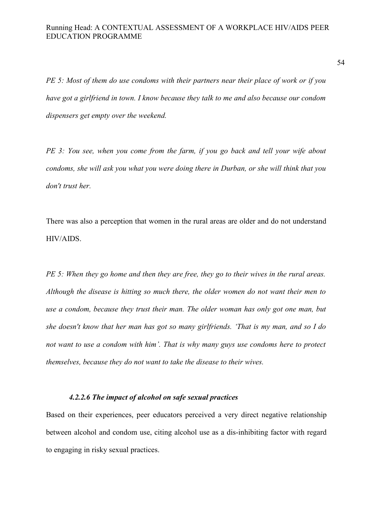*PE 5: Most of them do use condoms with their partners near their place of work or if you have got a girlfriend in town. I know because they talk to me and also because our condom dispensers get empty over the weekend.* 

*PE 3: You see, when you come from the farm, if you go back and tell your wife about condoms, she will ask you what you were doing there in Durban, or she will think that you don't trust her.* 

There was also a perception that women in the rural areas are older and do not understand HIV/AIDS.

*PE 5: When they go home and then they are free, they go to their wives in the rural areas. Although the disease is hitting so much there, the older women do not want their men to use a condom, because they trust their man. The older woman has only got one man, but she doesn't know that her man has got so many girlfriends. 'That is my man, and so I do not want to use a condom with him'. That is why many guys use condoms here to protect themselves, because they do not want to take the disease to their wives.* 

# *4.2.2.6 The impact of alcohol on safe sexual practices*

Based on their experiences, peer educators perceived a very direct negative relationship between alcohol and condom use, citing alcohol use as a dis-inhibiting factor with regard to engaging in risky sexual practices.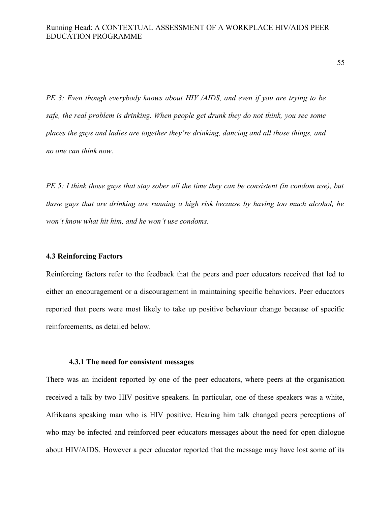*PE 3: Even though everybody knows about HIV /AIDS, and even if you are trying to be safe, the real problem is drinking. When people get drunk they do not think, you see some places the guys and ladies are together they're drinking, dancing and all those things, and no one can think now.*

*PE 5: I think those guys that stay sober all the time they can be consistent (in condom use), but those guys that are drinking are running a high risk because by having too much alcohol, he won't know what hit him, and he won't use condoms.*

#### **4.3 Reinforcing Factors**

Reinforcing factors refer to the feedback that the peers and peer educators received that led to either an encouragement or a discouragement in maintaining specific behaviors. Peer educators reported that peers were most likely to take up positive behaviour change because of specific reinforcements, as detailed below.

#### **4.3.1 The need for consistent messages**

There was an incident reported by one of the peer educators, where peers at the organisation received a talk by two HIV positive speakers. In particular, one of these speakers was a white, Afrikaans speaking man who is HIV positive. Hearing him talk changed peers perceptions of who may be infected and reinforced peer educators messages about the need for open dialogue about HIV/AIDS. However a peer educator reported that the message may have lost some of its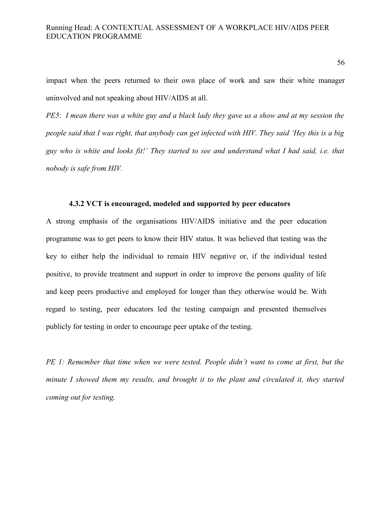impact when the peers returned to their own place of work and saw their white manager uninvolved and not speaking about HIV/AIDS at all.

*PE5*: *I mean there was a white guy and a black lady they gave us a show and at my session the people said that I was right, that anybody can get infected with HIV. They said 'Hey this is a big guy who is white and looks fit!' They started to see and understand what I had said, i.e. that nobody is safe from HIV.* 

# **4.3.2 VCT is encouraged, modeled and supported by peer educators**

A strong emphasis of the organisations HIV/AIDS initiative and the peer education programme was to get peers to know their HIV status. It was believed that testing was the key to either help the individual to remain HIV negative or, if the individual tested positive, to provide treatment and support in order to improve the persons quality of life and keep peers productive and employed for longer than they otherwise would be. With regard to testing, peer educators led the testing campaign and presented themselves publicly for testing in order to encourage peer uptake of the testing.

*PE 1: Remember that time when we were tested. People didn't want to come at first, but the minute I showed them my results, and brought it to the plant and circulated it, they started coming out for testing.*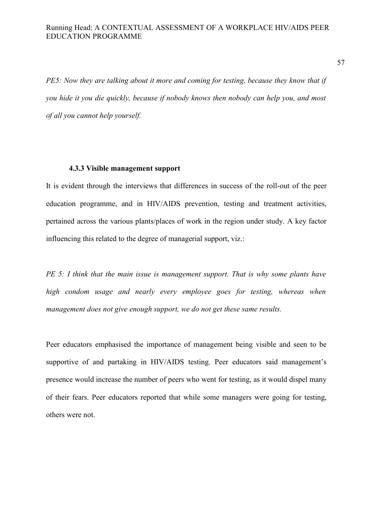*PE5: Now they are talking about it more and coming for testing, because they know that if you hide it you die quickly, because if nobody knows then nobody can help you, and most of all you cannot help yourself.* 

#### **4.3.3 Visible management support**

It is evident through the interviews that differences in success of the roll-out of the peer education programme, and in HIV/AIDS prevention, testing and treatment activities, pertained across the various plants/places of work in the region under study. A key factor influencing this related to the degree of managerial support, viz.:

*PE 5: I think that the main issue is management support. That is why some plants have high condom usage and nearly every employee goes for testing, whereas when management does not give enough support, we do not get these same results.* 

Peer educators emphasised the importance of management being visible and seen to be supportive of and partaking in HIV/AIDS testing. Peer educators said management's presence would increase the number of peers who went for testing, as it would dispel many of their fears. Peer educators reported that while some managers were going for testing, others were not.

57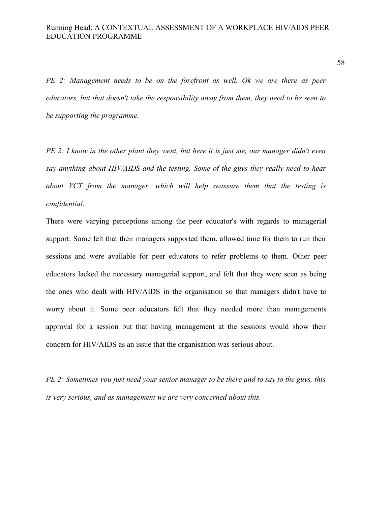*PE 2: Management needs to be on the forefront as well. Ok we are there as peer educators, but that doesn't take the responsibility away from them, they need to be seen to be supporting the programme.*

*PE 2: I know in the other plant they went, but here it is just me, our manager didn't even say anything about HIV/AIDS and the testing. Some of the guys they really need to hear about VCT from the manager, which will help reassure them that the testing is confidential.* 

There were varying perceptions among the peer educator's with regards to managerial support. Some felt that their managers supported them, allowed time for them to run their sessions and were available for peer educators to refer problems to them. Other peer educators lacked the necessary managerial support, and felt that they were seen as being the ones who dealt with HIV/AIDS in the organisation so that managers didn't have to worry about it. Some peer educators felt that they needed more than managements approval for a session but that having management at the sessions would show their concern for HIV/AIDS as an issue that the organisation was serious about.

*PE 2: Sometimes you just need your senior manager to be there and to say to the guys, this is very serious, and as management we are very concerned about this.*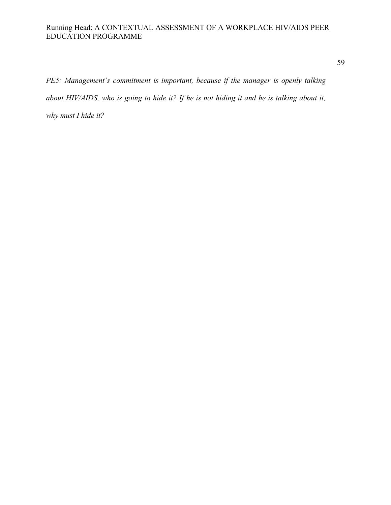59

*PE5: Management's commitment is important, because if the manager is openly talking about HIV/AIDS, who is going to hide it? If he is not hiding it and he is talking about it, why must I hide it?*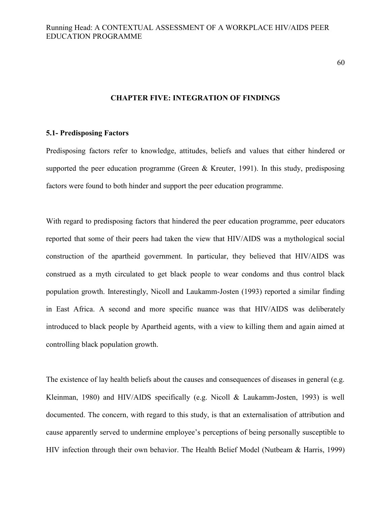60

#### **CHAPTER FIVE: INTEGRATION OF FINDINGS**

# **5.1- Predisposing Factors**

Predisposing factors refer to knowledge, attitudes, beliefs and values that either hindered or supported the peer education programme (Green & Kreuter, 1991). In this study, predisposing factors were found to both hinder and support the peer education programme.

With regard to predisposing factors that hindered the peer education programme, peer educators reported that some of their peers had taken the view that HIV/AIDS was a mythological social construction of the apartheid government. In particular, they believed that HIV/AIDS was construed as a myth circulated to get black people to wear condoms and thus control black population growth. Interestingly, Nicoll and Laukamm-Josten (1993) reported a similar finding in East Africa. A second and more specific nuance was that HIV/AIDS was deliberately introduced to black people by Apartheid agents, with a view to killing them and again aimed at controlling black population growth.

The existence of lay health beliefs about the causes and consequences of diseases in general (e.g. Kleinman, 1980) and HIV/AIDS specifically (e.g. Nicoll & Laukamm-Josten, 1993) is well documented. The concern, with regard to this study, is that an externalisation of attribution and cause apparently served to undermine employee's perceptions of being personally susceptible to HIV infection through their own behavior. The Health Belief Model (Nutbeam & Harris, 1999)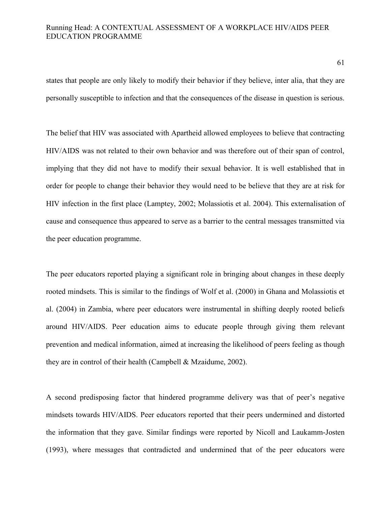61

states that people are only likely to modify their behavior if they believe, inter alia, that they are personally susceptible to infection and that the consequences of the disease in question is serious.

The belief that HIV was associated with Apartheid allowed employees to believe that contracting HIV/AIDS was not related to their own behavior and was therefore out of their span of control, implying that they did not have to modify their sexual behavior. It is well established that in order for people to change their behavior they would need to be believe that they are at risk for HIV infection in the first place (Lamptey, 2002; Molassiotis et al. 2004). This externalisation of cause and consequence thus appeared to serve as a barrier to the central messages transmitted via the peer education programme.

The peer educators reported playing a significant role in bringing about changes in these deeply rooted mindsets. This is similar to the findings of Wolf et al. (2000) in Ghana and Molassiotis et al. (2004) in Zambia, where peer educators were instrumental in shifting deeply rooted beliefs around HIV/AIDS. Peer education aims to educate people through giving them relevant prevention and medical information, aimed at increasing the likelihood of peers feeling as though they are in control of their health (Campbell & Mzaidume, 2002).

A second predisposing factor that hindered programme delivery was that of peer's negative mindsets towards HIV/AIDS. Peer educators reported that their peers undermined and distorted the information that they gave. Similar findings were reported by Nicoll and Laukamm-Josten (1993), where messages that contradicted and undermined that of the peer educators were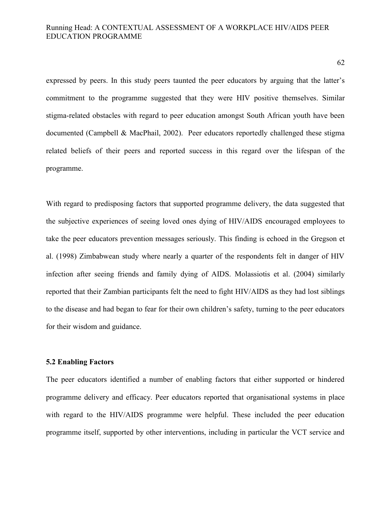expressed by peers. In this study peers taunted the peer educators by arguing that the latter's commitment to the programme suggested that they were HIV positive themselves. Similar stigma-related obstacles with regard to peer education amongst South African youth have been documented (Campbell & MacPhail, 2002). Peer educators reportedly challenged these stigma related beliefs of their peers and reported success in this regard over the lifespan of the programme.

With regard to predisposing factors that supported programme delivery, the data suggested that the subjective experiences of seeing loved ones dying of HIV/AIDS encouraged employees to take the peer educators prevention messages seriously. This finding is echoed in the Gregson et al. (1998) Zimbabwean study where nearly a quarter of the respondents felt in danger of HIV infection after seeing friends and family dying of AIDS. Molassiotis et al. (2004) similarly reported that their Zambian participants felt the need to fight HIV/AIDS as they had lost siblings to the disease and had began to fear for their own children's safety, turning to the peer educators for their wisdom and guidance.

#### **5.2 Enabling Factors**

The peer educators identified a number of enabling factors that either supported or hindered programme delivery and efficacy. Peer educators reported that organisational systems in place with regard to the HIV/AIDS programme were helpful. These included the peer education programme itself, supported by other interventions, including in particular the VCT service and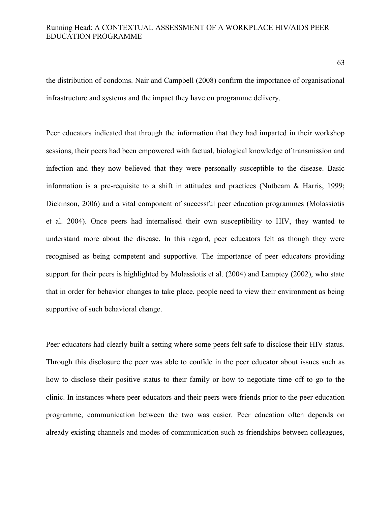the distribution of condoms. Nair and Campbell (2008) confirm the importance of organisational infrastructure and systems and the impact they have on programme delivery.

Peer educators indicated that through the information that they had imparted in their workshop sessions, their peers had been empowered with factual, biological knowledge of transmission and infection and they now believed that they were personally susceptible to the disease. Basic information is a pre-requisite to a shift in attitudes and practices (Nutbeam & Harris, 1999; Dickinson, 2006) and a vital component of successful peer education programmes (Molassiotis et al. 2004). Once peers had internalised their own susceptibility to HIV, they wanted to understand more about the disease. In this regard, peer educators felt as though they were recognised as being competent and supportive. The importance of peer educators providing support for their peers is highlighted by Molassiotis et al. (2004) and Lamptey (2002), who state that in order for behavior changes to take place, people need to view their environment as being supportive of such behavioral change.

Peer educators had clearly built a setting where some peers felt safe to disclose their HIV status. Through this disclosure the peer was able to confide in the peer educator about issues such as how to disclose their positive status to their family or how to negotiate time off to go to the clinic. In instances where peer educators and their peers were friends prior to the peer education programme, communication between the two was easier. Peer education often depends on already existing channels and modes of communication such as friendships between colleagues,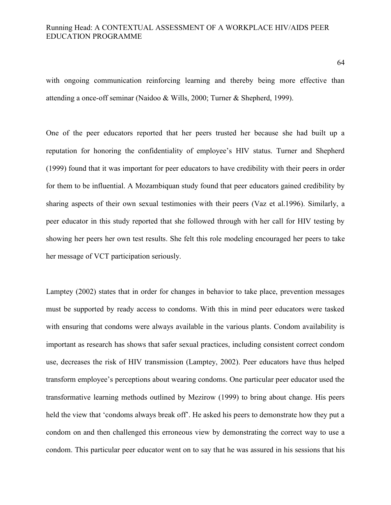with ongoing communication reinforcing learning and thereby being more effective than attending a once-off seminar (Naidoo & Wills, 2000; Turner & Shepherd, 1999).

One of the peer educators reported that her peers trusted her because she had built up a reputation for honoring the confidentiality of employee's HIV status. Turner and Shepherd (1999) found that it was important for peer educators to have credibility with their peers in order for them to be influential. A Mozambiquan study found that peer educators gained credibility by sharing aspects of their own sexual testimonies with their peers (Vaz et al.1996). Similarly, a peer educator in this study reported that she followed through with her call for HIV testing by showing her peers her own test results. She felt this role modeling encouraged her peers to take her message of VCT participation seriously.

Lamptey (2002) states that in order for changes in behavior to take place, prevention messages must be supported by ready access to condoms. With this in mind peer educators were tasked with ensuring that condoms were always available in the various plants. Condom availability is important as research has shows that safer sexual practices, including consistent correct condom use, decreases the risk of HIV transmission (Lamptey, 2002). Peer educators have thus helped transform employee's perceptions about wearing condoms. One particular peer educator used the transformative learning methods outlined by Mezirow (1999) to bring about change. His peers held the view that 'condoms always break off'. He asked his peers to demonstrate how they put a condom on and then challenged this erroneous view by demonstrating the correct way to use a condom. This particular peer educator went on to say that he was assured in his sessions that his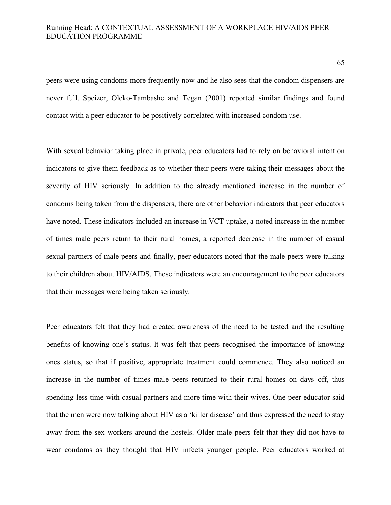peers were using condoms more frequently now and he also sees that the condom dispensers are never full. Speizer, Oleko-Tambashe and Tegan (2001) reported similar findings and found contact with a peer educator to be positively correlated with increased condom use.

With sexual behavior taking place in private, peer educators had to rely on behavioral intention indicators to give them feedback as to whether their peers were taking their messages about the severity of HIV seriously. In addition to the already mentioned increase in the number of condoms being taken from the dispensers, there are other behavior indicators that peer educators have noted. These indicators included an increase in VCT uptake, a noted increase in the number of times male peers return to their rural homes, a reported decrease in the number of casual sexual partners of male peers and finally, peer educators noted that the male peers were talking to their children about HIV/AIDS. These indicators were an encouragement to the peer educators that their messages were being taken seriously.

Peer educators felt that they had created awareness of the need to be tested and the resulting benefits of knowing one's status. It was felt that peers recognised the importance of knowing ones status, so that if positive, appropriate treatment could commence. They also noticed an increase in the number of times male peers returned to their rural homes on days off, thus spending less time with casual partners and more time with their wives. One peer educator said that the men were now talking about HIV as a 'killer disease' and thus expressed the need to stay away from the sex workers around the hostels. Older male peers felt that they did not have to wear condoms as they thought that HIV infects younger people. Peer educators worked at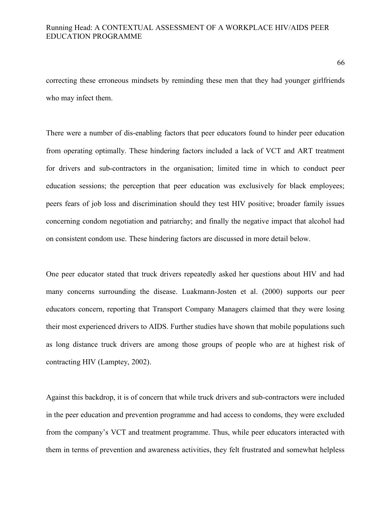correcting these erroneous mindsets by reminding these men that they had younger girlfriends who may infect them.

There were a number of dis-enabling factors that peer educators found to hinder peer education from operating optimally. These hindering factors included a lack of VCT and ART treatment for drivers and sub-contractors in the organisation; limited time in which to conduct peer education sessions; the perception that peer education was exclusively for black employees; peers fears of job loss and discrimination should they test HIV positive; broader family issues concerning condom negotiation and patriarchy; and finally the negative impact that alcohol had on consistent condom use. These hindering factors are discussed in more detail below.

One peer educator stated that truck drivers repeatedly asked her questions about HIV and had many concerns surrounding the disease. Luakmann-Josten et al. (2000) supports our peer educators concern, reporting that Transport Company Managers claimed that they were losing their most experienced drivers to AIDS. Further studies have shown that mobile populations such as long distance truck drivers are among those groups of people who are at highest risk of contracting HIV (Lamptey, 2002).

Against this backdrop, it is of concern that while truck drivers and sub-contractors were included in the peer education and prevention programme and had access to condoms, they were excluded from the company's VCT and treatment programme. Thus, while peer educators interacted with them in terms of prevention and awareness activities, they felt frustrated and somewhat helpless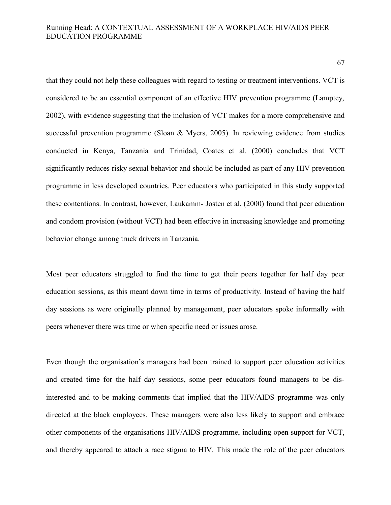67

that they could not help these colleagues with regard to testing or treatment interventions. VCT is considered to be an essential component of an effective HIV prevention programme (Lamptey, 2002), with evidence suggesting that the inclusion of VCT makes for a more comprehensive and successful prevention programme (Sloan & Myers, 2005). In reviewing evidence from studies conducted in Kenya, Tanzania and Trinidad, Coates et al. (2000) concludes that VCT significantly reduces risky sexual behavior and should be included as part of any HIV prevention programme in less developed countries. Peer educators who participated in this study supported these contentions. In contrast, however, Laukamm- Josten et al. (2000) found that peer education and condom provision (without VCT) had been effective in increasing knowledge and promoting behavior change among truck drivers in Tanzania.

Most peer educators struggled to find the time to get their peers together for half day peer education sessions, as this meant down time in terms of productivity. Instead of having the half day sessions as were originally planned by management, peer educators spoke informally with peers whenever there was time or when specific need or issues arose.

Even though the organisation's managers had been trained to support peer education activities and created time for the half day sessions, some peer educators found managers to be disinterested and to be making comments that implied that the HIV/AIDS programme was only directed at the black employees. These managers were also less likely to support and embrace other components of the organisations HIV/AIDS programme, including open support for VCT, and thereby appeared to attach a race stigma to HIV. This made the role of the peer educators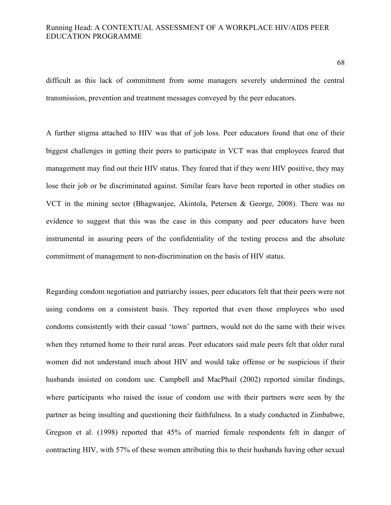difficult as this lack of commitment from some managers severely undermined the central transmission, prevention and treatment messages conveyed by the peer educators.

A further stigma attached to HIV was that of job loss. Peer educators found that one of their biggest challenges in getting their peers to participate in VCT was that employees feared that management may find out their HIV status. They feared that if they were HIV positive, they may lose their job or be discriminated against. Similar fears have been reported in other studies on VCT in the mining sector (Bhagwanjee, Akintola, Petersen & George, 2008). There was no evidence to suggest that this was the case in this company and peer educators have been instrumental in assuring peers of the confidentiality of the testing process and the absolute commitment of management to non-discrimination on the basis of HIV status.

Regarding condom negotiation and patriarchy issues, peer educators felt that their peers were not using condoms on a consistent basis. They reported that even those employees who used condoms consistently with their casual 'town' partners, would not do the same with their wives when they returned home to their rural areas. Peer educators said male peers felt that older rural women did not understand much about HIV and would take offense or be suspicious if their husbands insisted on condom use. Campbell and MacPhail (2002) reported similar findings, where participants who raised the issue of condom use with their partners were seen by the partner as being insulting and questioning their faithfulness. In a study conducted in Zimbabwe, Gregson et al. (1998) reported that 45% of married female respondents felt in danger of contracting HIV, with 57% of these women attributing this to their husbands having other sexual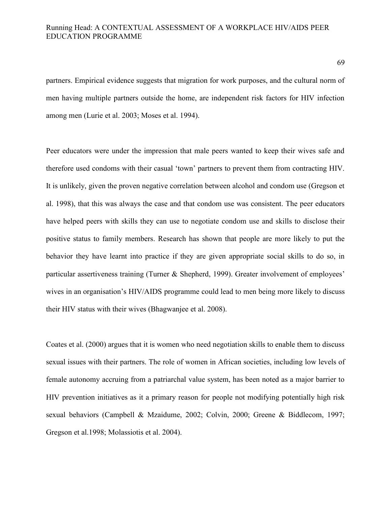partners. Empirical evidence suggests that migration for work purposes, and the cultural norm of men having multiple partners outside the home, are independent risk factors for HIV infection among men (Lurie et al. 2003; Moses et al. 1994).

Peer educators were under the impression that male peers wanted to keep their wives safe and therefore used condoms with their casual 'town' partners to prevent them from contracting HIV. It is unlikely, given the proven negative correlation between alcohol and condom use (Gregson et al. 1998), that this was always the case and that condom use was consistent. The peer educators have helped peers with skills they can use to negotiate condom use and skills to disclose their positive status to family members. Research has shown that people are more likely to put the behavior they have learnt into practice if they are given appropriate social skills to do so, in particular assertiveness training (Turner & Shepherd, 1999). Greater involvement of employees' wives in an organisation's HIV/AIDS programme could lead to men being more likely to discuss their HIV status with their wives (Bhagwanjee et al. 2008).

Coates et al. (2000) argues that it is women who need negotiation skills to enable them to discuss sexual issues with their partners. The role of women in African societies, including low levels of female autonomy accruing from a patriarchal value system, has been noted as a major barrier to HIV prevention initiatives as it a primary reason for people not modifying potentially high risk sexual behaviors (Campbell & Mzaidume, 2002; Colvin, 2000; Greene & Biddlecom, 1997; Gregson et al.1998; Molassiotis et al. 2004).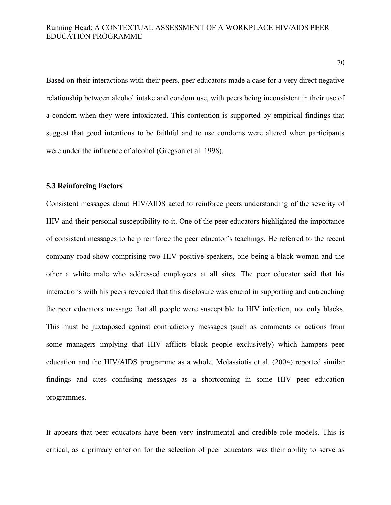Based on their interactions with their peers, peer educators made a case for a very direct negative relationship between alcohol intake and condom use, with peers being inconsistent in their use of a condom when they were intoxicated. This contention is supported by empirical findings that suggest that good intentions to be faithful and to use condoms were altered when participants were under the influence of alcohol (Gregson et al. 1998).

# **5.3 Reinforcing Factors**

Consistent messages about HIV/AIDS acted to reinforce peers understanding of the severity of HIV and their personal susceptibility to it. One of the peer educators highlighted the importance of consistent messages to help reinforce the peer educator's teachings. He referred to the recent company road-show comprising two HIV positive speakers, one being a black woman and the other a white male who addressed employees at all sites. The peer educator said that his interactions with his peers revealed that this disclosure was crucial in supporting and entrenching the peer educators message that all people were susceptible to HIV infection, not only blacks. This must be juxtaposed against contradictory messages (such as comments or actions from some managers implying that HIV afflicts black people exclusively) which hampers peer education and the HIV/AIDS programme as a whole. Molassiotis et al. (2004) reported similar findings and cites confusing messages as a shortcoming in some HIV peer education programmes.

It appears that peer educators have been very instrumental and credible role models. This is critical, as a primary criterion for the selection of peer educators was their ability to serve as

70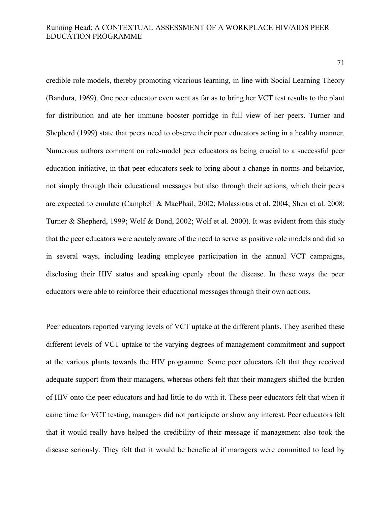71

credible role models, thereby promoting vicarious learning, in line with Social Learning Theory (Bandura, 1969). One peer educator even went as far as to bring her VCT test results to the plant for distribution and ate her immune booster porridge in full view of her peers. Turner and Shepherd (1999) state that peers need to observe their peer educators acting in a healthy manner. Numerous authors comment on role-model peer educators as being crucial to a successful peer education initiative, in that peer educators seek to bring about a change in norms and behavior, not simply through their educational messages but also through their actions, which their peers are expected to emulate (Campbell & MacPhail, 2002; Molassiotis et al. 2004; Shen et al. 2008; Turner & Shepherd, 1999; Wolf & Bond, 2002; Wolf et al. 2000). It was evident from this study that the peer educators were acutely aware of the need to serve as positive role models and did so in several ways, including leading employee participation in the annual VCT campaigns, disclosing their HIV status and speaking openly about the disease. In these ways the peer educators were able to reinforce their educational messages through their own actions.

Peer educators reported varying levels of VCT uptake at the different plants. They ascribed these different levels of VCT uptake to the varying degrees of management commitment and support at the various plants towards the HIV programme. Some peer educators felt that they received adequate support from their managers, whereas others felt that their managers shifted the burden of HIV onto the peer educators and had little to do with it. These peer educators felt that when it came time for VCT testing, managers did not participate or show any interest. Peer educators felt that it would really have helped the credibility of their message if management also took the disease seriously. They felt that it would be beneficial if managers were committed to lead by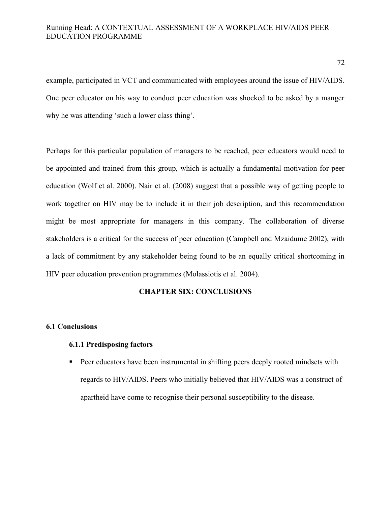example, participated in VCT and communicated with employees around the issue of HIV/AIDS. One peer educator on his way to conduct peer education was shocked to be asked by a manger why he was attending 'such a lower class thing'.

Perhaps for this particular population of managers to be reached, peer educators would need to be appointed and trained from this group, which is actually a fundamental motivation for peer education (Wolf et al. 2000). Nair et al. (2008) suggest that a possible way of getting people to work together on HIV may be to include it in their job description, and this recommendation might be most appropriate for managers in this company. The collaboration of diverse stakeholders is a critical for the success of peer education (Campbell and Mzaidume 2002), with a lack of commitment by any stakeholder being found to be an equally critical shortcoming in HIV peer education prevention programmes (Molassiotis et al. 2004).

# **CHAPTER SIX: CONCLUSIONS**

#### **6.1 Conclusions**

# **6.1.1 Predisposing factors**

**Peer educators have been instrumental in shifting peers deeply rooted mindsets with** regards to HIV/AIDS. Peers who initially believed that HIV/AIDS was a construct of apartheid have come to recognise their personal susceptibility to the disease.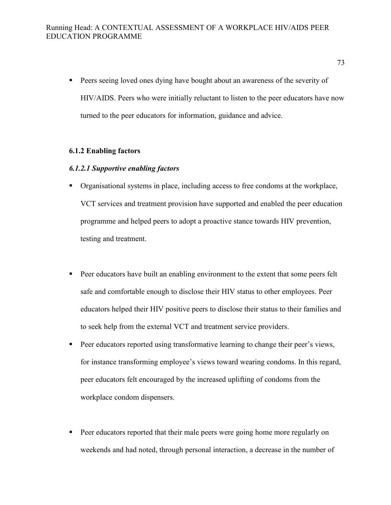- Peers seeing loved ones dying have bought about an awareness of the severity of HIV/AIDS. Peers who were initially reluctant to listen to the peer educators have now turned to the peer educators for information, guidance and advice.

### **6.1.2 Enabling factors**

## *6.1.2.1 Supportive enabling factors*

- Organisational systems in place, including access to free condoms at the workplace, VCT services and treatment provision have supported and enabled the peer education programme and helped peers to adopt a proactive stance towards HIV prevention, testing and treatment.
- - Peer educators have built an enabling environment to the extent that some peers felt safe and comfortable enough to disclose their HIV status to other employees. Peer educators helped their HIV positive peers to disclose their status to their families and to seek help from the external VCT and treatment service providers.
- - Peer educators reported using transformative learning to change their peer's views, for instance transforming employee's views toward wearing condoms. In this regard, peer educators felt encouraged by the increased uplifting of condoms from the workplace condom dispensers.
- - Peer educators reported that their male peers were going home more regularly on weekends and had noted, through personal interaction, a decrease in the number of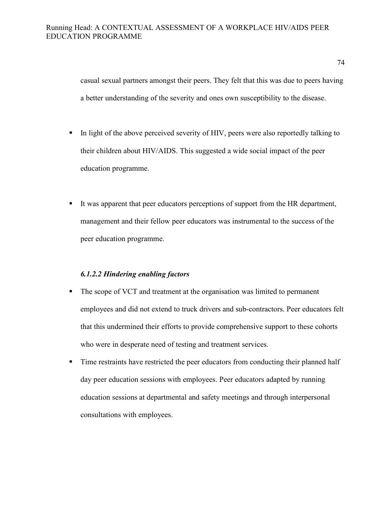casual sexual partners amongst their peers. They felt that this was due to peers having a better understanding of the severity and ones own susceptibility to the disease.

- In light of the above perceived severity of HIV, peers were also reportedly talking to their children about HIV/AIDS. This suggested a wide social impact of the peer education programme.
- - It was apparent that peer educators perceptions of support from the HR department, management and their fellow peer educators was instrumental to the success of the peer education programme.

## *6.1.2.2 Hindering enabling factors*

- - The scope of VCT and treatment at the organisation was limited to permanent employees and did not extend to truck drivers and sub-contractors. Peer educators felt that this undermined their efforts to provide comprehensive support to these cohorts who were in desperate need of testing and treatment services.
- - Time restraints have restricted the peer educators from conducting their planned half day peer education sessions with employees. Peer educators adapted by running education sessions at departmental and safety meetings and through interpersonal consultations with employees.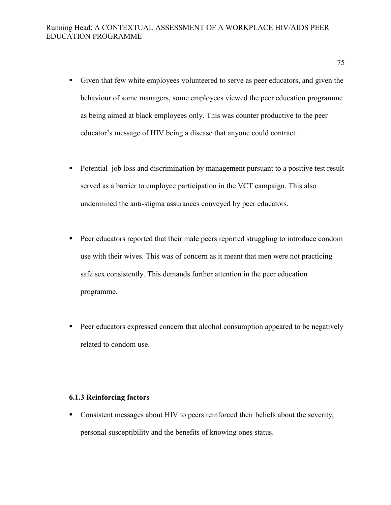- Given that few white employees volunteered to serve as peer educators, and given the behaviour of some managers, some employees viewed the peer education programme as being aimed at black employees only. This was counter productive to the peer educator's message of HIV being a disease that anyone could contract.
- - Potential job loss and discrimination by management pursuant to a positive test result served as a barrier to employee participation in the VCT campaign. This also undermined the anti-stigma assurances conveyed by peer educators.
- - Peer educators reported that their male peers reported struggling to introduce condom use with their wives. This was of concern as it meant that men were not practicing safe sex consistently. This demands further attention in the peer education programme.
- - Peer educators expressed concern that alcohol consumption appeared to be negatively related to condom use.

#### **6.1.3 Reinforcing factors**

- Consistent messages about HIV to peers reinforced their beliefs about the severity, personal susceptibility and the benefits of knowing ones status.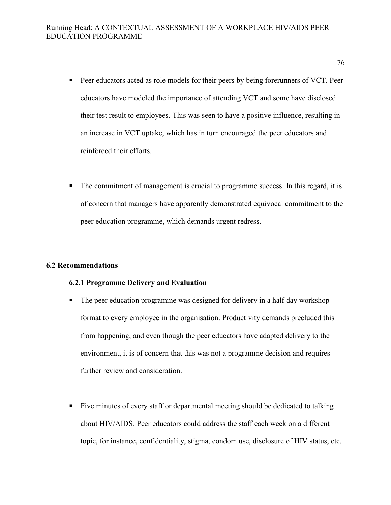- **Peer educators acted as role models for their peers by being forerunners of VCT. Peer** educators have modeled the importance of attending VCT and some have disclosed their test result to employees. This was seen to have a positive influence, resulting in an increase in VCT uptake, which has in turn encouraged the peer educators and reinforced their efforts.
- - The commitment of management is crucial to programme success. In this regard, it is of concern that managers have apparently demonstrated equivocal commitment to the peer education programme, which demands urgent redress.

## **6.2 Recommendations**

#### **6.2.1 Programme Delivery and Evaluation**

- The peer education programme was designed for delivery in a half day workshop format to every employee in the organisation. Productivity demands precluded this from happening, and even though the peer educators have adapted delivery to the environment, it is of concern that this was not a programme decision and requires further review and consideration.
- - Five minutes of every staff or departmental meeting should be dedicated to talking about HIV/AIDS. Peer educators could address the staff each week on a different topic, for instance, confidentiality, stigma, condom use, disclosure of HIV status, etc.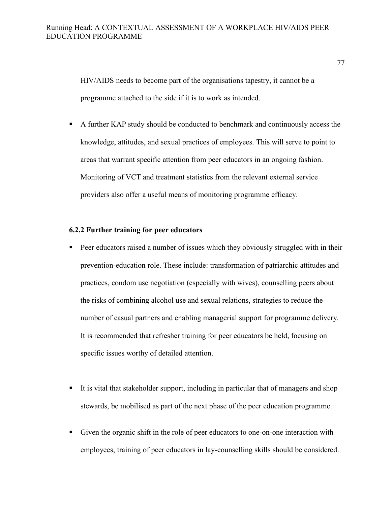HIV/AIDS needs to become part of the organisations tapestry, it cannot be a programme attached to the side if it is to work as intended.

- A further KAP study should be conducted to benchmark and continuously access the knowledge, attitudes, and sexual practices of employees. This will serve to point to areas that warrant specific attention from peer educators in an ongoing fashion. Monitoring of VCT and treatment statistics from the relevant external service providers also offer a useful means of monitoring programme efficacy.

## **6.2.2 Further training for peer educators**

- - Peer educators raised a number of issues which they obviously struggled with in their prevention-education role. These include: transformation of patriarchic attitudes and practices, condom use negotiation (especially with wives), counselling peers about the risks of combining alcohol use and sexual relations, strategies to reduce the number of casual partners and enabling managerial support for programme delivery. It is recommended that refresher training for peer educators be held, focusing on specific issues worthy of detailed attention.
- - It is vital that stakeholder support, including in particular that of managers and shop stewards, be mobilised as part of the next phase of the peer education programme.
- - Given the organic shift in the role of peer educators to one-on-one interaction with employees, training of peer educators in lay-counselling skills should be considered.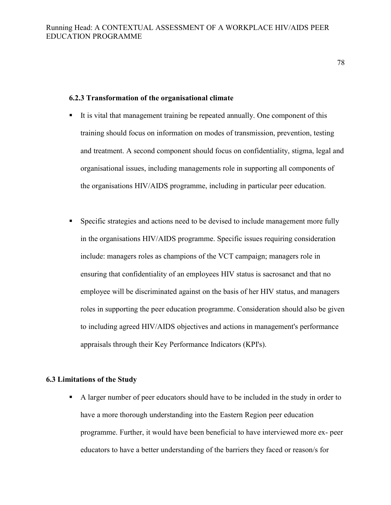#### **6.2.3 Transformation of the organisational climate**

- - It is vital that management training be repeated annually. One component of this training should focus on information on modes of transmission, prevention, testing and treatment. A second component should focus on confidentiality, stigma, legal and organisational issues, including managements role in supporting all components of the organisations HIV/AIDS programme, including in particular peer education.
- - Specific strategies and actions need to be devised to include management more fully in the organisations HIV/AIDS programme. Specific issues requiring consideration include: managers roles as champions of the VCT campaign; managers role in ensuring that confidentiality of an employees HIV status is sacrosanct and that no employee will be discriminated against on the basis of her HIV status, and managers roles in supporting the peer education programme. Consideration should also be given to including agreed HIV/AIDS objectives and actions in management's performance appraisals through their Key Performance Indicators (KPI's).

### **6.3 Limitations of the Study**

- A larger number of peer educators should have to be included in the study in order to have a more thorough understanding into the Eastern Region peer education programme. Further, it would have been beneficial to have interviewed more ex- peer educators to have a better understanding of the barriers they faced or reason/s for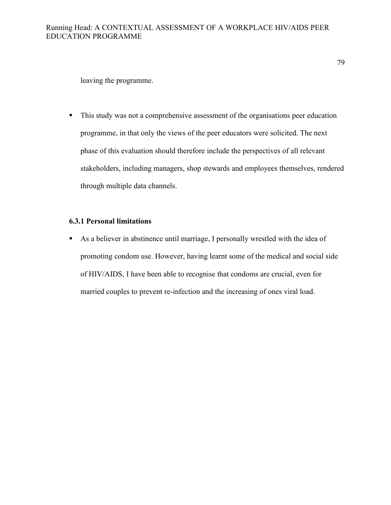leaving the programme.

- This study was not a comprehensive assessment of the organisations peer education programme, in that only the views of the peer educators were solicited. The next phase of this evaluation should therefore include the perspectives of all relevant stakeholders, including managers, shop stewards and employees themselves, rendered through multiple data channels.

## **6.3.1 Personal limitations**

- As a believer in abstinence until marriage, I personally wrestled with the idea of promoting condom use. However, having learnt some of the medical and social side of HIV/AIDS, I have been able to recognise that condoms are crucial, even for married couples to prevent re-infection and the increasing of ones viral load.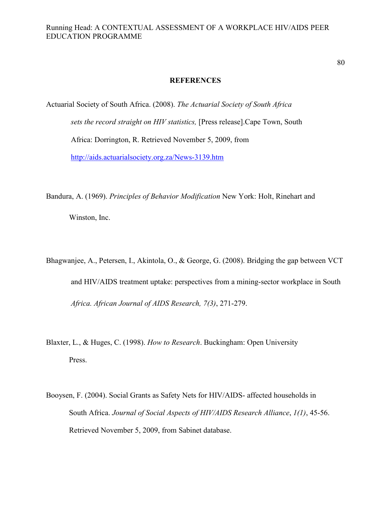#### **REFERENCES**

Actuarial Society of South Africa. (2008). *The Actuarial Society of South Africa sets the record straight on HIV statistics,* [Press release].Cape Town, South Africa: Dorrington, R. Retrieved November 5, 2009, from http://aids.actuarialsociety.org.za/News-3139.htm

Bandura, A. (1969). *Principles of Behavior Modification* New York: Holt, Rinehart and Winston, Inc.

- Bhagwanjee, A., Petersen, I., Akintola, O., & George, G. (2008). Bridging the gap between VCT and HIV/AIDS treatment uptake: perspectives from a mining-sector workplace in South *Africa. African Journal of AIDS Research, 7(3)*, 271-279.
- Blaxter, L., & Huges, C. (1998). *How to Research*. Buckingham: Open University Press.
- Booysen, F. (2004). Social Grants as Safety Nets for HIV/AIDS- affected households in South Africa. *Journal of Social Aspects of HIV/AIDS Research Alliance*, *1(1)*, 45-56. Retrieved November 5, 2009, from Sabinet database.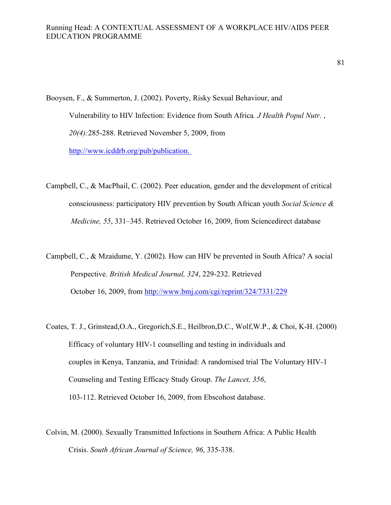Booysen, F., & Summerton, J. (2002). Poverty, Risky Sexual Behaviour, and Vulnerability to HIV Infection: Evidence from South Africa. *J Health Popul Nutr.*, *20(4):*285-288. Retrieved November 5, 2009, from http://www.icddrb.org/pub/publication.

Campbell, C., & MacPhail, C. (2002). Peer education, gender and the development of critical consciousness: participatory HIV prevention by South African youth *Social Science & Medicine, 55*, 331–345. Retrieved October 16, 2009, from Sciencedirect database

Campbell, C., & Mzaidume, Y. (2002). How can HIV be prevented in South Africa? A social Perspective. *British Medical Journal, 324*, 229-232. Retrieved October 16, 2009, from http://www.bmj.com/cgi/reprint/324/7331/229

- Coates, T. J., Grinstead,O.A., Gregorich,S.E., Heilbron,D.C., Wolf,W.P., & Choi, K-H. (2000) Efficacy of voluntary HIV-1 counselling and testing in individuals and couples in Kenya, Tanzania, and Trinidad: A randomised trial The Voluntary HIV-1 Counseling and Testing Efficacy Study Group. *The Lancet, 356*, 103-112. Retrieved October 16, 2009, from Ebscohost database.
- Colvin, M. (2000). Sexually Transmitted Infections in Southern Africa: A Public Health Crisis. *South African Journal of Science, 96*, 335-338.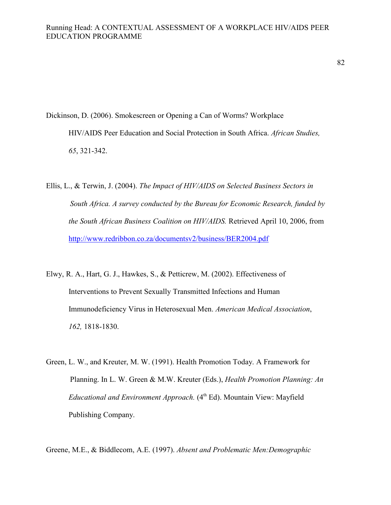Dickinson, D. (2006). Smokescreen or Opening a Can of Worms? Workplace HIV/AIDS Peer Education and Social Protection in South Africa. *African Studies, 65*, 321-342.

Ellis, L., & Terwin, J. (2004). *The Impact of HIV/AIDS on Selected Business Sectors in South Africa. A survey conducted by the Bureau for Economic Research, funded by the South African Business Coalition on HIV/AIDS.* Retrieved April 10, 2006, from http://www.redribbon.co.za/documentsv2/business/BER2004.pdf

- Elwy, R. A., Hart, G. J., Hawkes, S., & Petticrew, M. (2002). Effectiveness of Interventions to Prevent Sexually Transmitted Infections and Human Immunodeficiency Virus in Heterosexual Men. *American Medical Association*, *162,* 1818-1830.
- Green, L. W., and Kreuter, M. W. (1991). Health Promotion Today. A Framework for Planning. In L. W. Green & M.W. Kreuter (Eds.), *Health Promotion Planning: An Educational and Environment Approach.* (4<sup>th</sup> Ed). Mountain View: Mayfield Publishing Company.

Greene, M.E., & Biddlecom, A.E. (1997). *Absent and Problematic Men:Demographic*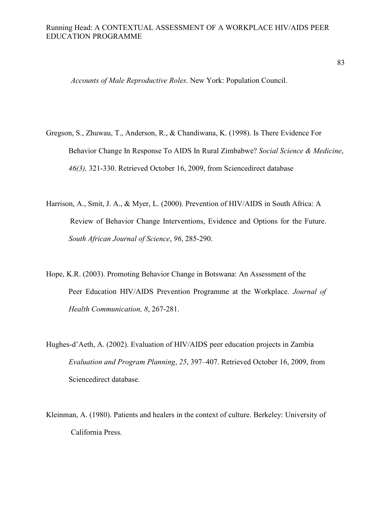*Accounts of Male Reproductive Roles*. New York: Population Council.

- Gregson, S., Zhuwau, T., Anderson, R., & Chandiwana, K. (1998). Is There Evidence For Behavior Change In Response To AIDS In Rural Zimbabwe? *Social Science & Medicine*, *46(3),* 321-330. Retrieved October 16, 2009, from Sciencedirect database
- Harrison, A., Smit, J. A., & Myer, L. (2000). Prevention of HIV/AIDS in South Africa: A Review of Behavior Change Interventions, Evidence and Options for the Future. *South African Journal of Science*, *96*, 285-290.
- Hope, K.R. (2003). Promoting Behavior Change in Botswana: An Assessment of the Peer Education HIV/AIDS Prevention Programme at the Workplace. *Journal of Health Communication, 8*, 267-281.
- Hughes-d'Aeth, A. (2002). Evaluation of HIV/AIDS peer education projects in Zambia *Evaluation and Program Planning*, *25*, 397–407. Retrieved October 16, 2009, from Sciencedirect database.
- Kleinman, A. (1980). Patients and healers in the context of culture. Berkeley: University of California Press.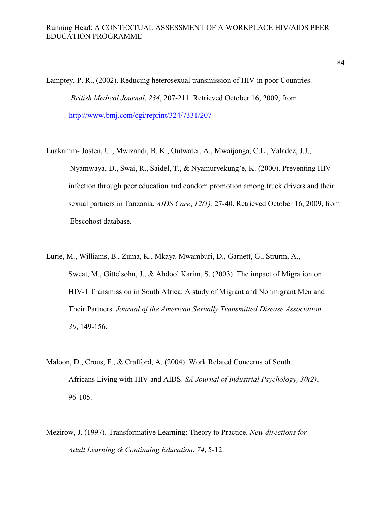Lamptey, P. R., (2002). Reducing heterosexual transmission of HIV in poor Countries. *British Medical Journal*, *234*, 207-211. Retrieved October 16, 2009, from http://www.bmj.com/cgi/reprint/324/7331/207

- Luakamm- Josten, U., Mwizandi, B. K., Outwater, A., Mwaijonga, C.L., Valadez, J.J., Nyamwaya, D., Swai, R., Saidel, T., & Nyamuryekung'e, K. (2000). Preventing HIV infection through peer education and condom promotion among truck drivers and their sexual partners in Tanzania. *AIDS Care*, *12(1),* 27-40. Retrieved October 16, 2009, from Ebscohost database.
- Lurie, M., Williams, B., Zuma, K., Mkaya-Mwamburi, D., Garnett, G., Strurm, A., Sweat, M., Gittelsohn, J., & Abdool Karim, S. (2003). The impact of Migration on HIV-1 Transmission in South Africa: A study of Migrant and Nonmigrant Men and Their Partners. *Journal of the American Sexually Transmitted Disease Association, 30*, 149-156.
- Maloon, D., Crous, F., & Crafford, A. (2004). Work Related Concerns of South Africans Living with HIV and AIDS. *SA Journal of Industrial Psychology, 30(2)*, 96-105.
- Mezirow, J. (1997). Transformative Learning: Theory to Practice. *New directions for Adult Learning & Continuing Education*, *74*, 5-12.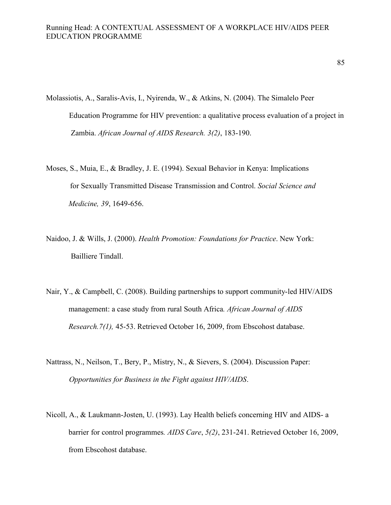- Molassiotis, A., Saralis-Avis, I., Nyirenda, W., & Atkins, N. (2004). The Simalelo Peer Education Programme for HIV prevention: a qualitative process evaluation of a project in Zambia. *African Journal of AIDS Research. 3(2)*, 183-190.
- Moses, S., Muia, E., & Bradley, J. E. (1994). Sexual Behavior in Kenya: Implications for Sexually Transmitted Disease Transmission and Control. *Social Science and Medicine, 39*, 1649-656.
- Naidoo, J. & Wills, J. (2000). *Health Promotion: Foundations for Practice*. New York: Bailliere Tindall.
- Nair, Y., & Campbell, C. (2008). Building partnerships to support community-led HIV/AIDS management: a case study from rural South Africa*. African Journal of AIDS Research.7(1),* 45-53. Retrieved October 16, 2009, from Ebscohost database.
- Nattrass, N., Neilson, T., Bery, P., Mistry, N., & Sievers, S. (2004). Discussion Paper: *Opportunities for Business in the Fight against HIV/AIDS*.
- Nicoll, A., & Laukmann-Josten, U. (1993). Lay Health beliefs concerning HIV and AIDS- a barrier for control programmes*. AIDS Care*, *5(2)*, 231-241. Retrieved October 16, 2009, from Ebscohost database.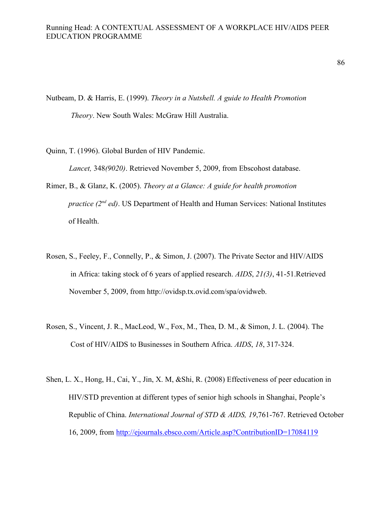Nutbeam, D. & Harris, E. (1999). *Theory in a Nutshell. A guide to Health Promotion Theory*. New South Wales: McGraw Hill Australia.

Quinn, T. (1996). Global Burden of HIV Pandemic. *Lancet,* 348*(9020)*. Retrieved November 5, 2009, from Ebscohost database.

- Rimer, B., & Glanz, K. (2005). *Theory at a Glance: A guide for health promotion practice (2nd ed)*. US Department of Health and Human Services: National Institutes of Health.
- Rosen, S., Feeley, F., Connelly, P., & Simon, J. (2007). The Private Sector and HIV/AIDS in Africa: taking stock of 6 years of applied research. *AIDS*, *21(3)*, 41-51.Retrieved November 5, 2009, from http://ovidsp.tx.ovid.com/spa/ovidweb.
- Rosen, S., Vincent, J. R., MacLeod, W., Fox, M., Thea, D. M., & Simon, J. L. (2004). The Cost of HIV/AIDS to Businesses in Southern Africa. *AIDS*, *18*, 317-324.
- Shen, L. X., Hong, H., Cai, Y., Jin, X. M, &Shi, R. (2008) Effectiveness of peer education in HIV/STD prevention at different types of senior high schools in Shanghai, People's Republic of China. *International Journal of STD & AIDS, 19*,761-767. Retrieved October 16, 2009, from http://ejournals.ebsco.com/Article.asp?ContributionID=17084119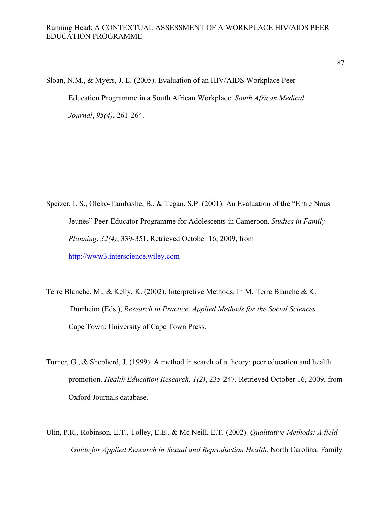Sloan, N.M., & Myers, J. E. (2005). Evaluation of an HIV/AIDS Workplace Peer Education Programme in a South African Workplace. *South African Medical Journal*, *95(4)*, 261-264.

- Speizer, I. S., Oleko-Tambashe, B., & Tegan, S.P. (2001). An Evaluation of the "Entre Nous Jeunes" Peer-Educator Programme for Adolescents in Cameroon. *Studies in Family Planning*, *32(4)*, 339-351. Retrieved October 16, 2009, from http://www3.interscience.wiley.com
- Terre Blanche, M., & Kelly, K. (2002). Interpretive Methods. In M. Terre Blanche & K. Durrheim (Eds.), *Research in Practice. Applied Methods for the Social Sciences*. Cape Town: University of Cape Town Press.
- Turner, G., & Shepherd, J. (1999). A method in search of a theory: peer education and health promotion. *Health Education Research, 1(2)*, 235-247*.* Retrieved October 16, 2009, from Oxford Journals database.
- Ulin, P.R., Robinson, E.T., Tolley, E.E., & Mc Neill, E.T. (2002). *Qualitative Methods: A field Guide for Applied Research in Sexual and Reproduction Health.* North Carolina: Family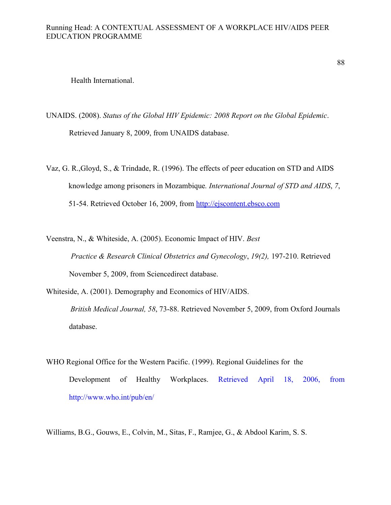88

Health International.

- UNAIDS. (2008). *Status of the Global HIV Epidemic: 2008 Report on the Global Epidemic*. Retrieved January 8, 2009, from UNAIDS database.
- Vaz, G. R.,Gloyd, S., & Trindade, R. (1996). The effects of peer education on STD and AIDS knowledge among prisoners in Mozambique*. International Journal of STD and AIDS*, *7*, 51-54. Retrieved October 16, 2009, from http://ejscontent.ebsco.com

Veenstra, N., & Whiteside, A. (2005). Economic Impact of HIV. *Best Practice & Research Clinical Obstetrics and Gynecology*, *19(2),* 197-210. Retrieved November 5, 2009, from Sciencedirect database.

Whiteside, A. (2001). Demography and Economics of HIV/AIDS.

*British Medical Journal, 58*, 73-88. Retrieved November 5, 2009, from Oxford Journals database.

WHO Regional Office for the Western Pacific. (1999). Regional Guidelines for the Development of Healthy Workplaces. Retrieved April 18, 2006, from http://www.who.int/pub/en/

Williams, B.G., Gouws, E., Colvin, M., Sitas, F., Ramjee, G., & Abdool Karim, S. S.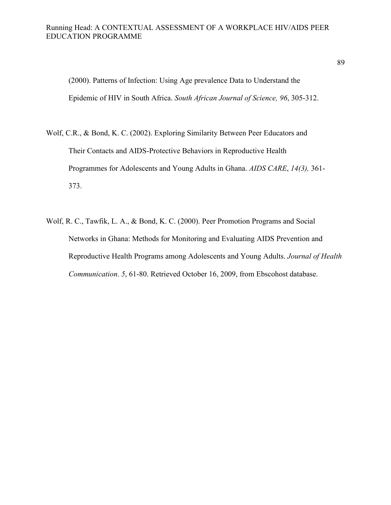(2000). Patterns of Infection: Using Age prevalence Data to Understand the Epidemic of HIV in South Africa. *South African Journal of Science, 96*, 305-312.

- Wolf, C.R., & Bond, K. C. (2002). Exploring Similarity Between Peer Educators and Their Contacts and AIDS-Protective Behaviors in Reproductive Health Programmes for Adolescents and Young Adults in Ghana. *AIDS CARE*, *14(3),* 361- 373.
- Wolf, R. C., Tawfik, L. A., & Bond, K. C. (2000). Peer Promotion Programs and Social Networks in Ghana: Methods for Monitoring and Evaluating AIDS Prevention and Reproductive Health Programs among Adolescents and Young Adults. *Journal of Health Communication*. *5*, 61-80. Retrieved October 16, 2009, from Ebscohost database.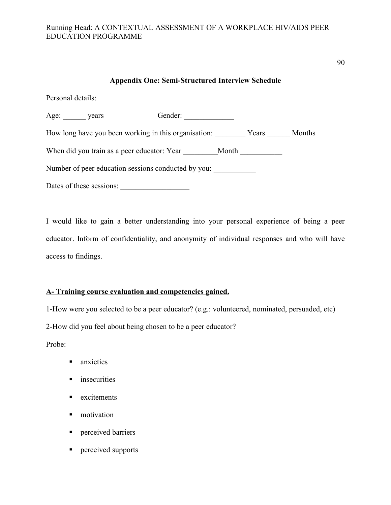## **Appendix One: Semi-Structured Interview Schedule**

Personal details:

| Age: years                                          |                                                      | Gender: |       |       |        |
|-----------------------------------------------------|------------------------------------------------------|---------|-------|-------|--------|
|                                                     | How long have you been working in this organisation: |         |       | Years | Months |
|                                                     | When did you train as a peer educator: Year          |         | Month |       |        |
| Number of peer education sessions conducted by you: |                                                      |         |       |       |        |
|                                                     | Dates of these sessions:                             |         |       |       |        |

I would like to gain a better understanding into your personal experience of being a peer educator. Inform of confidentiality, and anonymity of individual responses and who will have access to findings.

### **A- Training course evaluation and competencies gained.**

1-How were you selected to be a peer educator? (e.g.: volunteered, nominated, persuaded, etc)

2-How did you feel about being chosen to be a peer educator?

Probe:

- anxieties
- **n** insecurities
- **Excitements**
- $\blacksquare$  motivation
- **Perceived barriers**
- **Perceived supports**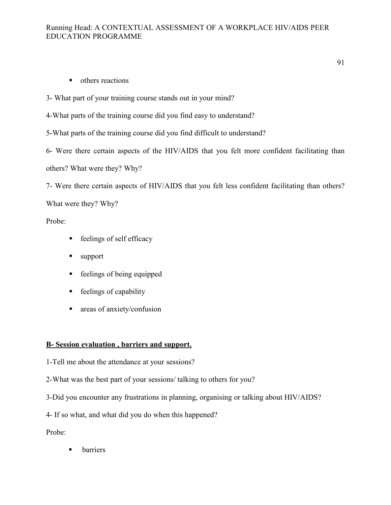- **•** others reactions
- 3- What part of your training course stands out in your mind?

4-What parts of the training course did you find easy to understand?

5-What parts of the training course did you find difficult to understand?

6- Were there certain aspects of the HIV/AIDS that you felt more confident facilitating than others? What were they? Why?

7- Were there certain aspects of HIV/AIDS that you felt less confident facilitating than others?

What were they? Why?

Probe:

- **-** feelings of self efficacy
- support
- **-** feelings of being equipped
- **Exercise** feelings of capability
- **a** areas of anxiety/confusion

# **B- Session evaluation , barriers and support.**

1-Tell me about the attendance at your sessions?

2-What was the best part of your sessions/ talking to others for you?

3-Did you encounter any frustrations in planning, organising or talking about HIV/AIDS?

4- If so what, and what did you do when this happened?

Probe:

barriers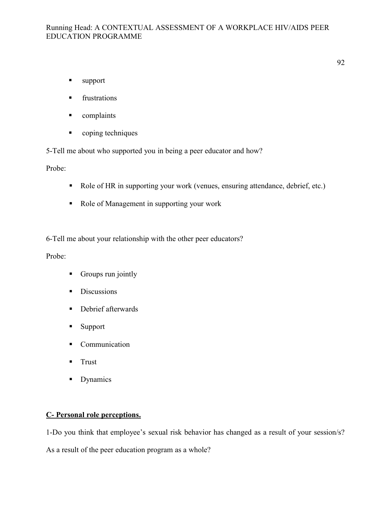92

- support
- frustrations
- complaints
- **-** coping techniques

5-Tell me about who supported you in being a peer educator and how?

Probe:

- Role of HR in supporting your work (venues, ensuring attendance, debrief, etc.)
- Role of Management in supporting your work

6-Tell me about your relationship with the other peer educators?

Probe:

- **-** Groups run jointly
- **-** Discussions
- **-** Debrief afterwards
- Support
- **Communication**
- Trust
- **Dynamics**

# **C- Personal role perceptions.**

1-Do you think that employee's sexual risk behavior has changed as a result of your session/s?

As a result of the peer education program as a whole?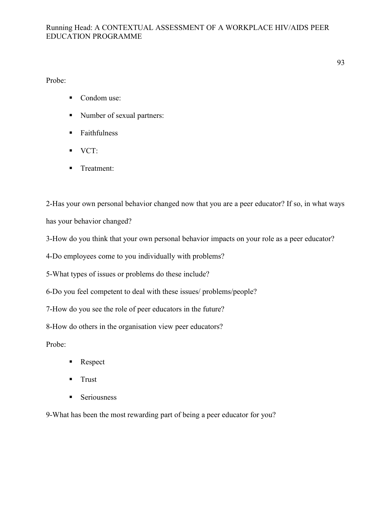Probe:

- Condom use:
- Number of sexual partners:
- Faithfulness
- VCT:
- **Treatment:**

2-Has your own personal behavior changed now that you are a peer educator? If so, in what ways has your behavior changed?

3-How do you think that your own personal behavior impacts on your role as a peer educator?

4-Do employees come to you individually with problems?

5-What types of issues or problems do these include?

6-Do you feel competent to deal with these issues/ problems/people?

7-How do you see the role of peer educators in the future?

8-How do others in the organisation view peer educators?

Probe:

- -Respect
- Trust
- **Seriousness**

9-What has been the most rewarding part of being a peer educator for you?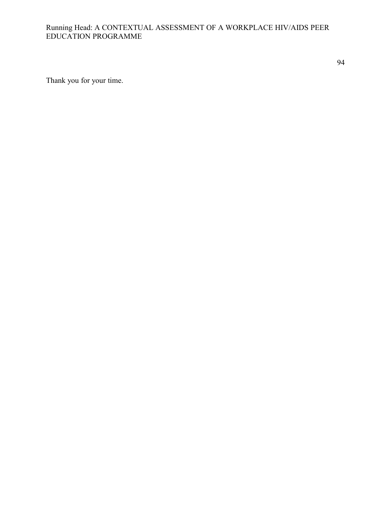94

Thank you for your time.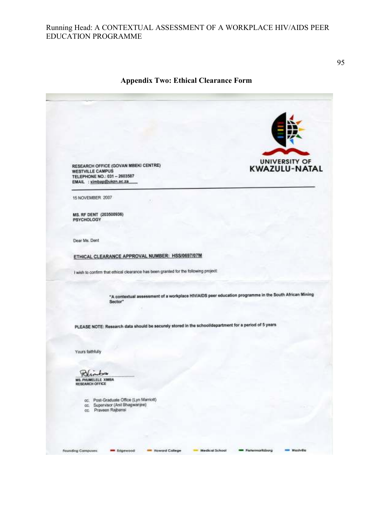#### **Appendix Two: Ethical Clearance Form**

**UNIVERSITY OF** RESEARCH OFFICE (GOVAN MBEKI CENTRE)<br>WESTVILLE CAMPUS KWAZULU-NATAL TELEPHONE NO.: 031 - 2603587 EMAIL : ximbap@ukzn.ac.za 15 NOVEMBER 2007 MS. RF DENT (203500936) **PSYCHOLOGY** Dear Ms. Dent ETHICAL CLEARANCE APPROVAL NUMBER: HSS/0697/07M I wish to confirm that ethical clearance has been granted for the following project: "A contextual assessment of a workplace HIVIAIDS peer education programme in the South African Mining Sector" PLEASE NOTE: Research data should be securely stored in the school/department for a period of 5 years Yours faithfully Polinton **MS. PHUMELELE XIMBA**<br>RESEARCH OFFICE oc. Post-Graduate Office (Lyn Marriott)<br>oc. Supervisor (Anil Bhagwanjee)<br>oc. Praveen Rajbansi **Founding Compuses: MA** Edgewood Roward College Medical School **MM** Picturmoritzburg westville.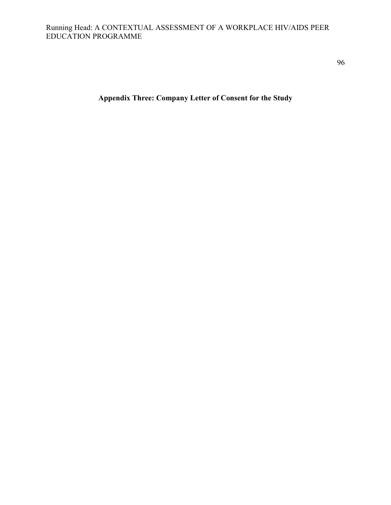96

**Appendix Three: Company Letter of Consent for the Study**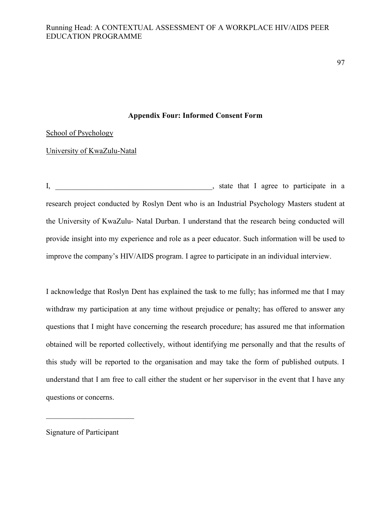97

#### **Appendix Four: Informed Consent Form**

School of Psychology

University of KwaZulu-Natal

I, \_\_\_\_\_\_\_\_\_\_\_\_\_\_\_\_\_\_\_\_\_\_\_\_\_\_\_\_\_\_\_\_\_\_\_\_\_\_\_\_\_, state that I agree to participate in a research project conducted by Roslyn Dent who is an Industrial Psychology Masters student at the University of KwaZulu- Natal Durban. I understand that the research being conducted will provide insight into my experience and role as a peer educator. Such information will be used to improve the company's HIV/AIDS program. I agree to participate in an individual interview.

I acknowledge that Roslyn Dent has explained the task to me fully; has informed me that I may withdraw my participation at any time without prejudice or penalty; has offered to answer any questions that I might have concerning the research procedure; has assured me that information obtained will be reported collectively, without identifying me personally and that the results of this study will be reported to the organisation and may take the form of published outputs. I understand that I am free to call either the student or her supervisor in the event that I have any questions or concerns.

Signature of Participant

 $\overline{\mathcal{L}}$  , which is a set of the set of the set of the set of the set of the set of the set of the set of the set of the set of the set of the set of the set of the set of the set of the set of the set of the set of th